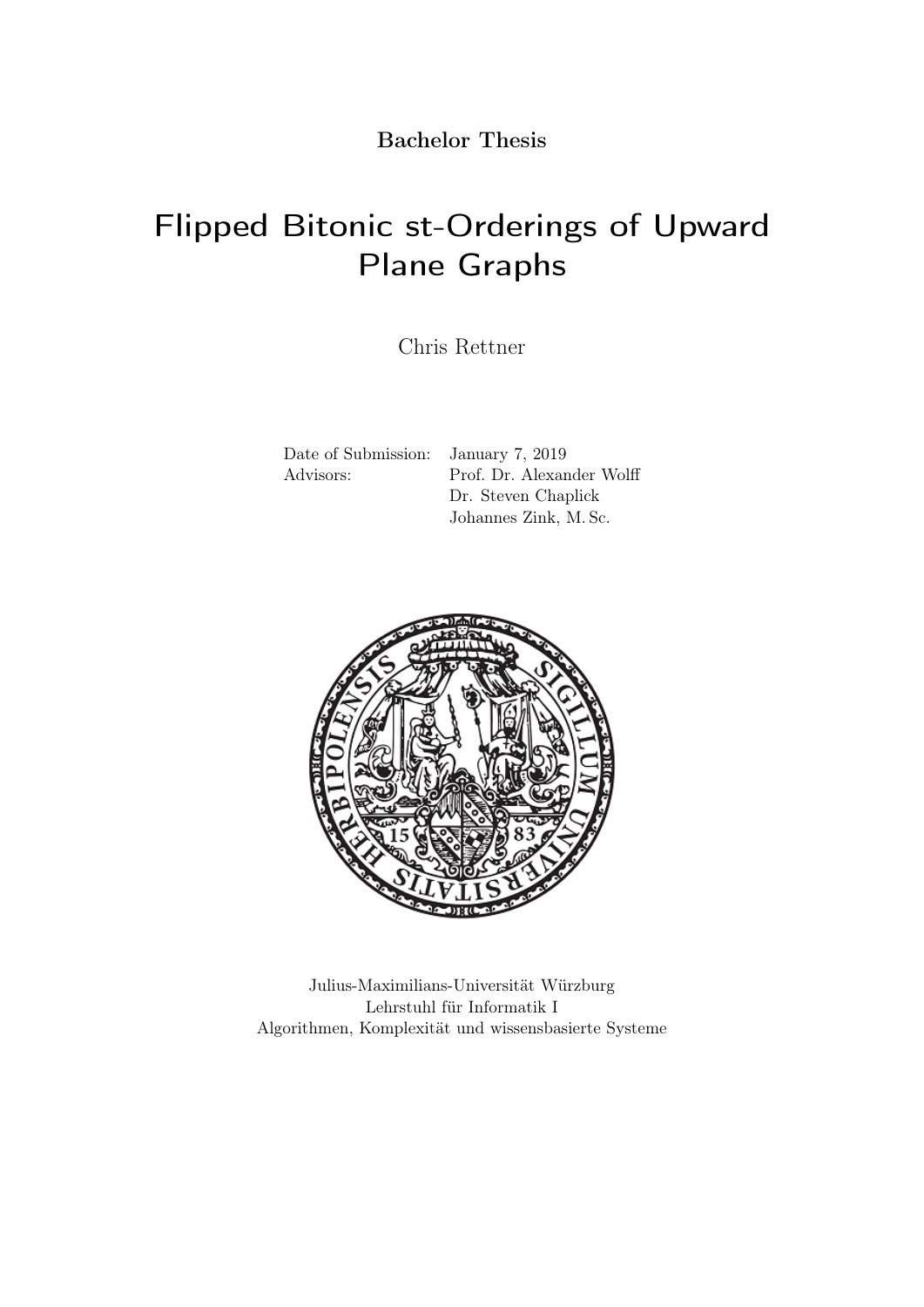Bachelor Thesis

# Flipped Bitonic st-Orderings of Upward Plane Graphs

Chris Rettner

Date of Submission: January 7, 2019

Advisors: Prof. Dr. Alexander Wolff Dr. Steven Chaplick Johannes Zink, M. Sc.



Julius-Maximilians-Universität Würzburg Lehrstuhl für Informatik I Algorithmen, Komplexität und wissensbasierte Systeme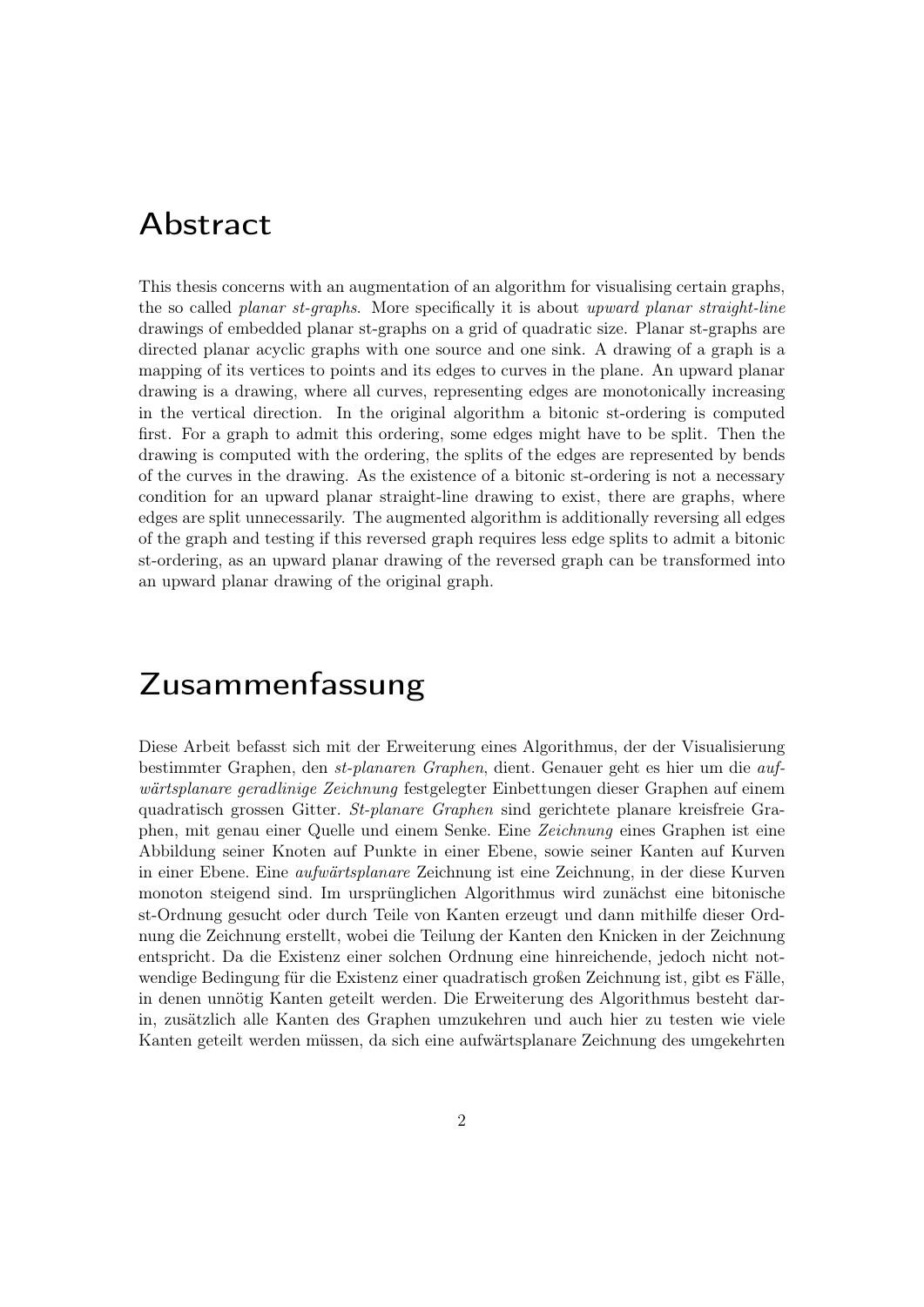### Abstract

This thesis concerns with an augmentation of an algorithm for visualising certain graphs, the so called *planar st-graphs*. More specifically it is about upward planar straight-line drawings of embedded planar st-graphs on a grid of quadratic size. Planar st-graphs are directed planar acyclic graphs with one source and one sink. A drawing of a graph is a mapping of its vertices to points and its edges to curves in the plane. An upward planar drawing is a drawing, where all curves, representing edges are monotonically increasing in the vertical direction. In the original algorithm a bitonic st-ordering is computed first. For a graph to admit this ordering, some edges might have to be split. Then the drawing is computed with the ordering, the splits of the edges are represented by bends of the curves in the drawing. As the existence of a bitonic st-ordering is not a necessary condition for an upward planar straight-line drawing to exist, there are graphs, where edges are split unnecessarily. The augmented algorithm is additionally reversing all edges of the graph and testing if this reversed graph requires less edge splits to admit a bitonic st-ordering, as an upward planar drawing of the reversed graph can be transformed into an upward planar drawing of the original graph.

## Zusammenfassung

Diese Arbeit befasst sich mit der Erweiterung eines Algorithmus, der der Visualisierung bestimmter Graphen, den st-planaren Graphen, dient. Genauer geht es hier um die aufwärtsplanare geradlinige Zeichnung festgelegter Einbettungen dieser Graphen auf einem quadratisch grossen Gitter. St-planare Graphen sind gerichtete planare kreisfreie Graphen, mit genau einer Quelle und einem Senke. Eine Zeichnung eines Graphen ist eine Abbildung seiner Knoten auf Punkte in einer Ebene, sowie seiner Kanten auf Kurven in einer Ebene. Eine aufwärtsplanare Zeichnung ist eine Zeichnung, in der diese Kurven monoton steigend sind. Im ursprünglichen Algorithmus wird zunächst eine bitonische st-Ordnung gesucht oder durch Teile von Kanten erzeugt und dann mithilfe dieser Ordnung die Zeichnung erstellt, wobei die Teilung der Kanten den Knicken in der Zeichnung entspricht. Da die Existenz einer solchen Ordnung eine hinreichende, jedoch nicht notwendige Bedingung für die Existenz einer quadratisch großen Zeichnung ist, gibt es Fälle, in denen unnötig Kanten geteilt werden. Die Erweiterung des Algorithmus besteht darin, zusätzlich alle Kanten des Graphen umzukehren und auch hier zu testen wie viele Kanten geteilt werden müssen, da sich eine aufwärtsplanare Zeichnung des umgekehrten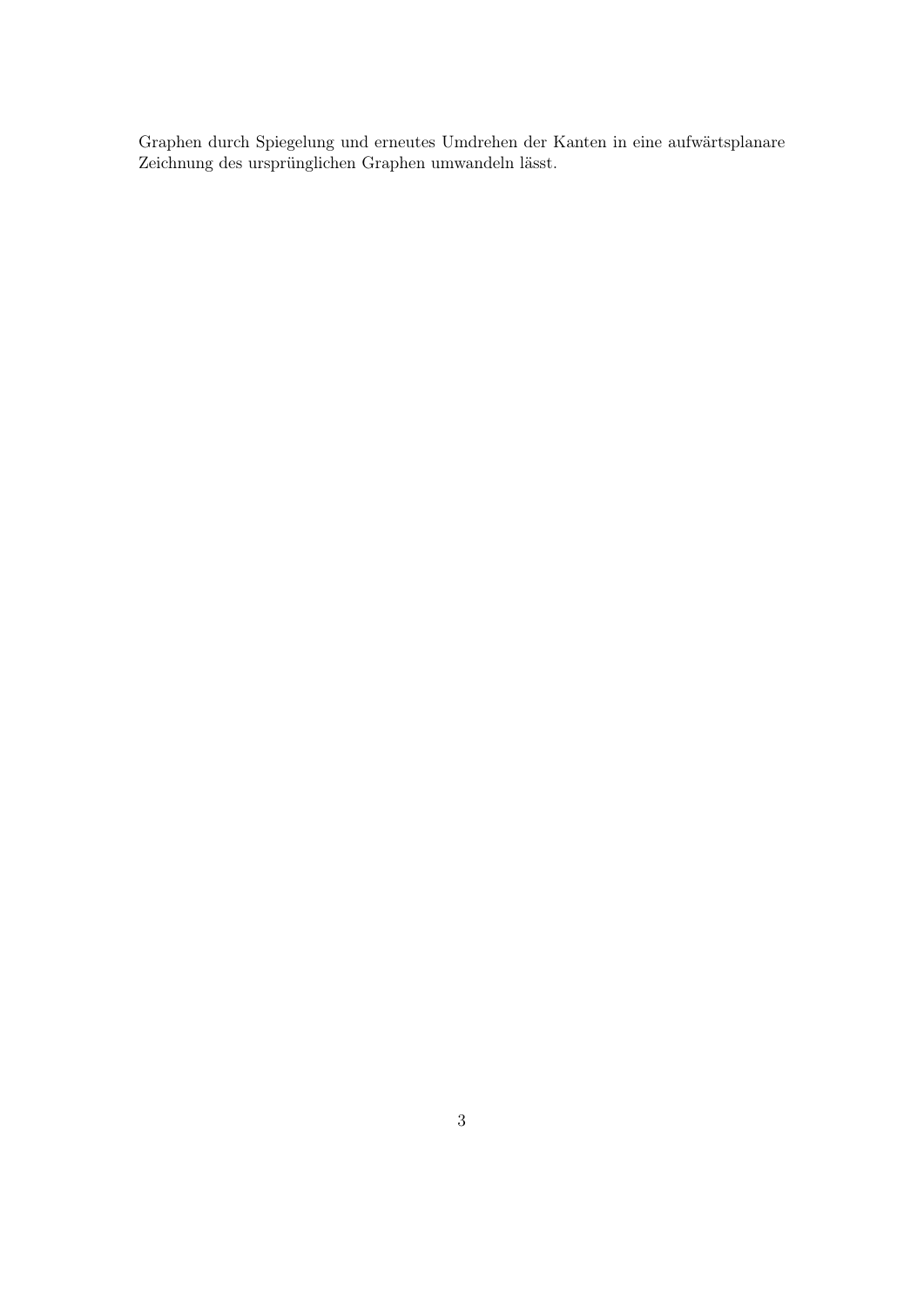Graphen durch Spiegelung und erneutes Umdrehen der Kanten in eine aufwärtsplanare Zeichnung des ursprünglichen Graphen umwandeln lässt.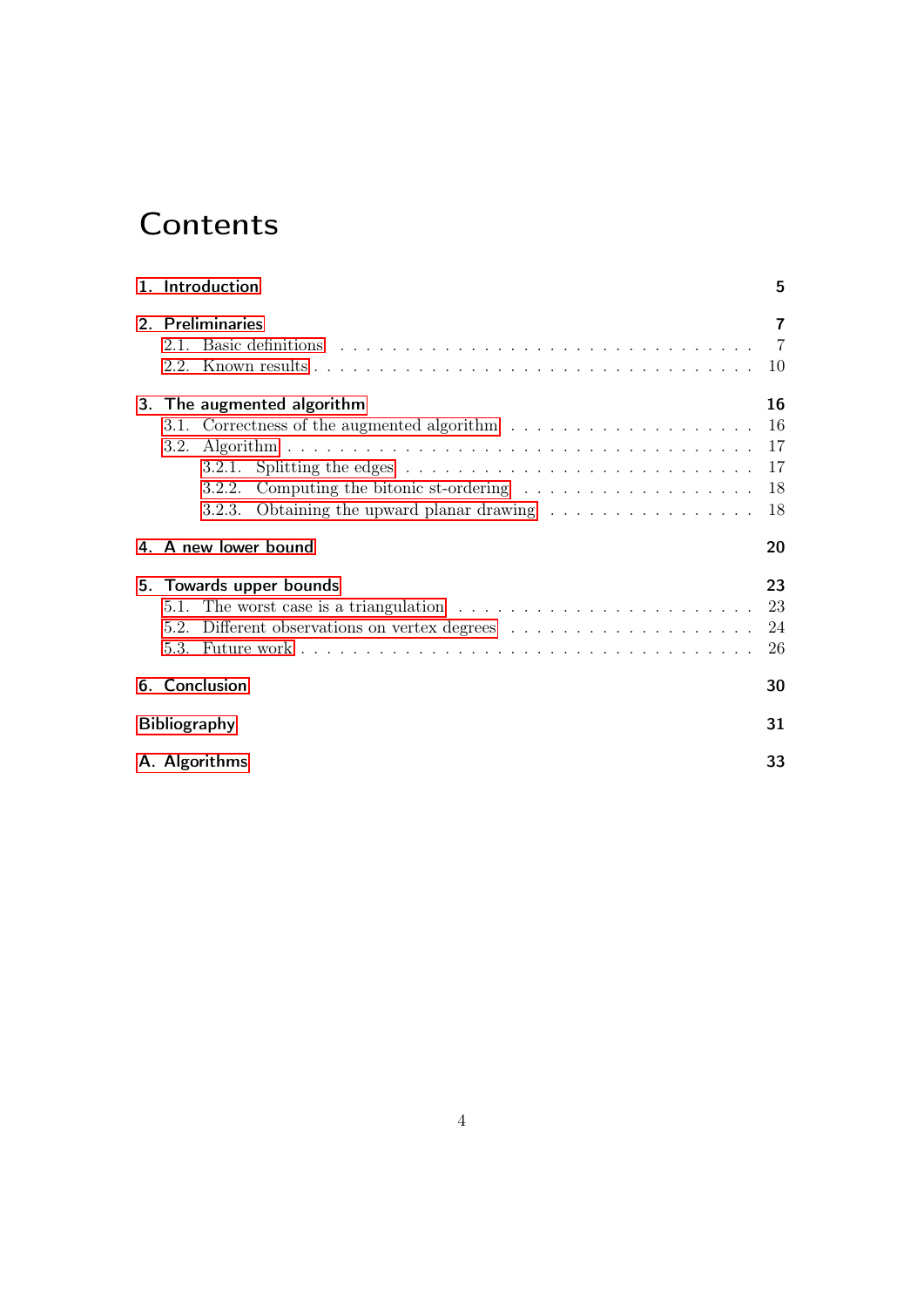# **Contents**

| 1. Introduction                                                                                                                                                                                                                                                                                           | 5                                               |
|-----------------------------------------------------------------------------------------------------------------------------------------------------------------------------------------------------------------------------------------------------------------------------------------------------------|-------------------------------------------------|
| 2. Preliminaries                                                                                                                                                                                                                                                                                          | $\overline{\mathbf{r}}$<br>$\overline{7}$<br>10 |
| 3. The augmented algorithm<br>3.2.1. Splitting the edges $\ldots \ldots \ldots \ldots \ldots \ldots \ldots \ldots \ldots \ldots 17$<br>3.2.2. Computing the bitonic st-ordering $\ldots \ldots \ldots \ldots \ldots \ldots$<br>3.2.3. Obtaining the upward planar drawing $\dots \dots \dots \dots \dots$ | 16<br>16<br>18<br>18                            |
| 4. A new lower bound                                                                                                                                                                                                                                                                                      | 20                                              |
| 5. Towards upper bounds<br>5.1. The worst case is a triangulation $\dots \dots \dots \dots \dots \dots \dots \dots \dots$                                                                                                                                                                                 | 23<br>23<br>24<br>26                            |
| 6. Conclusion                                                                                                                                                                                                                                                                                             | 30                                              |
| <b>Bibliography</b>                                                                                                                                                                                                                                                                                       | 31                                              |
| A. Algorithms                                                                                                                                                                                                                                                                                             | 33                                              |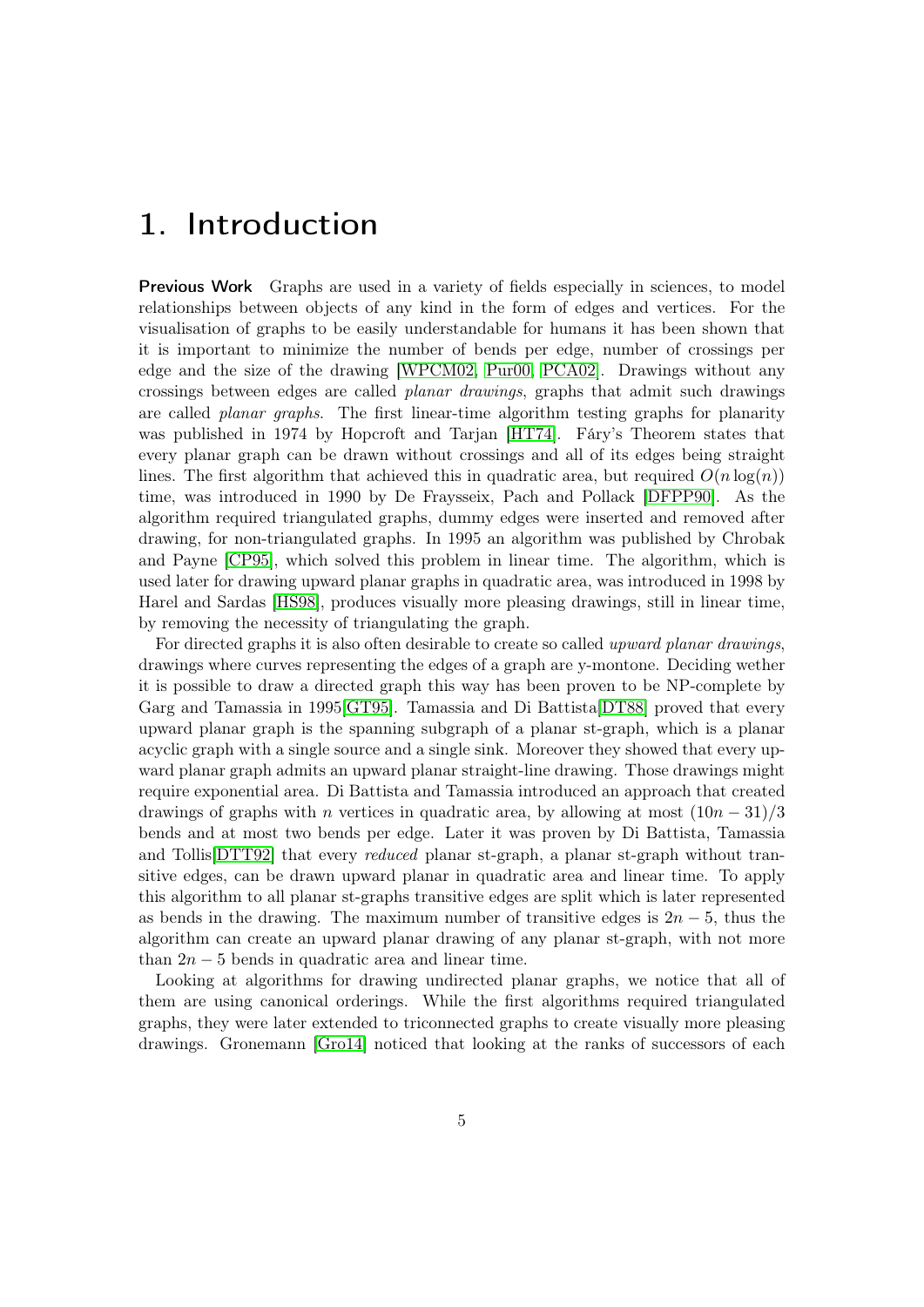## <span id="page-4-0"></span>1. Introduction

**Previous Work** Graphs are used in a variety of fields especially in sciences, to model relationships between objects of any kind in the form of edges and vertices. For the visualisation of graphs to be easily understandable for humans it has been shown that it is important to minimize the number of bends per edge, number of crossings per edge and the size of the drawing [\[WPCM02,](#page-31-0) [Pur00,](#page-31-1) [PCA02\]](#page-31-2). Drawings without any crossings between edges are called planar drawings, graphs that admit such drawings are called *planar graphs*. The first linear-time algorithm testing graphs for planarity was published in 1974 by Hopcroft and Tarjan [\[HT74\]](#page-31-3). Fáry's Theorem states that every planar graph can be drawn without crossings and all of its edges being straight lines. The first algorithm that achieved this in quadratic area, but required  $O(n \log(n))$ time, was introduced in 1990 by De Fraysseix, Pach and Pollack [\[DFPP90\]](#page-30-1). As the algorithm required triangulated graphs, dummy edges were inserted and removed after drawing, for non-triangulated graphs. In 1995 an algorithm was published by Chrobak and Payne [\[CP95\]](#page-30-2), which solved this problem in linear time. The algorithm, which is used later for drawing upward planar graphs in quadratic area, was introduced in 1998 by Harel and Sardas [\[HS98\]](#page-30-3), produces visually more pleasing drawings, still in linear time, by removing the necessity of triangulating the graph.

For directed graphs it is also often desirable to create so called upward planar drawings, drawings where curves representing the edges of a graph are y-montone. Deciding wether it is possible to draw a directed graph this way has been proven to be NP-complete by Garg and Tamassia in 1995[\[GT95\]](#page-30-4). Tamassia and Di Battista[\[DT88\]](#page-30-5) proved that every upward planar graph is the spanning subgraph of a planar st-graph, which is a planar acyclic graph with a single source and a single sink. Moreover they showed that every upward planar graph admits an upward planar straight-line drawing. Those drawings might require exponential area. Di Battista and Tamassia introduced an approach that created drawings of graphs with *n* vertices in quadratic area, by allowing at most  $(10n - 31)/3$ bends and at most two bends per edge. Later it was proven by Di Battista, Tamassia and Tollis [\[DTT92\]](#page-30-6) that every *reduced* planar st-graph, a planar st-graph without transitive edges, can be drawn upward planar in quadratic area and linear time. To apply this algorithm to all planar st-graphs transitive edges are split which is later represented as bends in the drawing. The maximum number of transitive edges is  $2n - 5$ , thus the algorithm can create an upward planar drawing of any planar st-graph, with not more than  $2n - 5$  bends in quadratic area and linear time.

Looking at algorithms for drawing undirected planar graphs, we notice that all of them are using canonical orderings. While the first algorithms required triangulated graphs, they were later extended to triconnected graphs to create visually more pleasing drawings. Gronemann [\[Gro14\]](#page-30-7) noticed that looking at the ranks of successors of each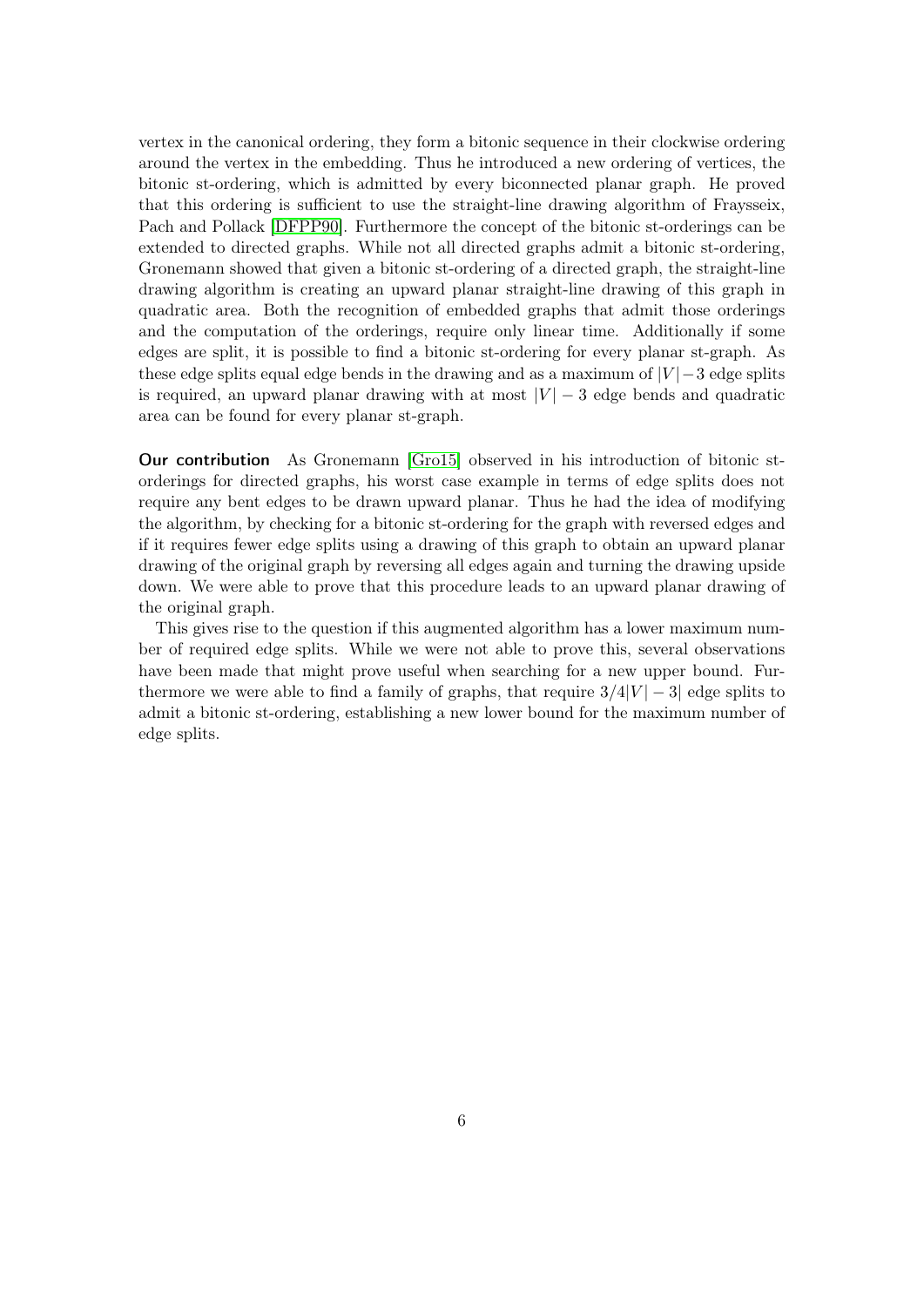vertex in the canonical ordering, they form a bitonic sequence in their clockwise ordering around the vertex in the embedding. Thus he introduced a new ordering of vertices, the bitonic st-ordering, which is admitted by every biconnected planar graph. He proved that this ordering is sufficient to use the straight-line drawing algorithm of Fraysseix, Pach and Pollack [\[DFPP90\]](#page-30-1). Furthermore the concept of the bitonic st-orderings can be extended to directed graphs. While not all directed graphs admit a bitonic st-ordering, Gronemann showed that given a bitonic st-ordering of a directed graph, the straight-line drawing algorithm is creating an upward planar straight-line drawing of this graph in quadratic area. Both the recognition of embedded graphs that admit those orderings and the computation of the orderings, require only linear time. Additionally if some edges are split, it is possible to find a bitonic st-ordering for every planar st-graph. As these edge splits equal edge bends in the drawing and as a maximum of  $|V|$  – 3 edge splits is required, an upward planar drawing with at most  $|V| - 3$  edge bends and quadratic area can be found for every planar st-graph.

Our contribution As Gronemann [\[Gro15\]](#page-30-8) observed in his introduction of bitonic storderings for directed graphs, his worst case example in terms of edge splits does not require any bent edges to be drawn upward planar. Thus he had the idea of modifying the algorithm, by checking for a bitonic st-ordering for the graph with reversed edges and if it requires fewer edge splits using a drawing of this graph to obtain an upward planar drawing of the original graph by reversing all edges again and turning the drawing upside down. We were able to prove that this procedure leads to an upward planar drawing of the original graph.

This gives rise to the question if this augmented algorithm has a lower maximum number of required edge splits. While we were not able to prove this, several observations have been made that might prove useful when searching for a new upper bound. Furthermore we were able to find a family of graphs, that require  $3/4|V| - 3|$  edge splits to admit a bitonic st-ordering, establishing a new lower bound for the maximum number of edge splits.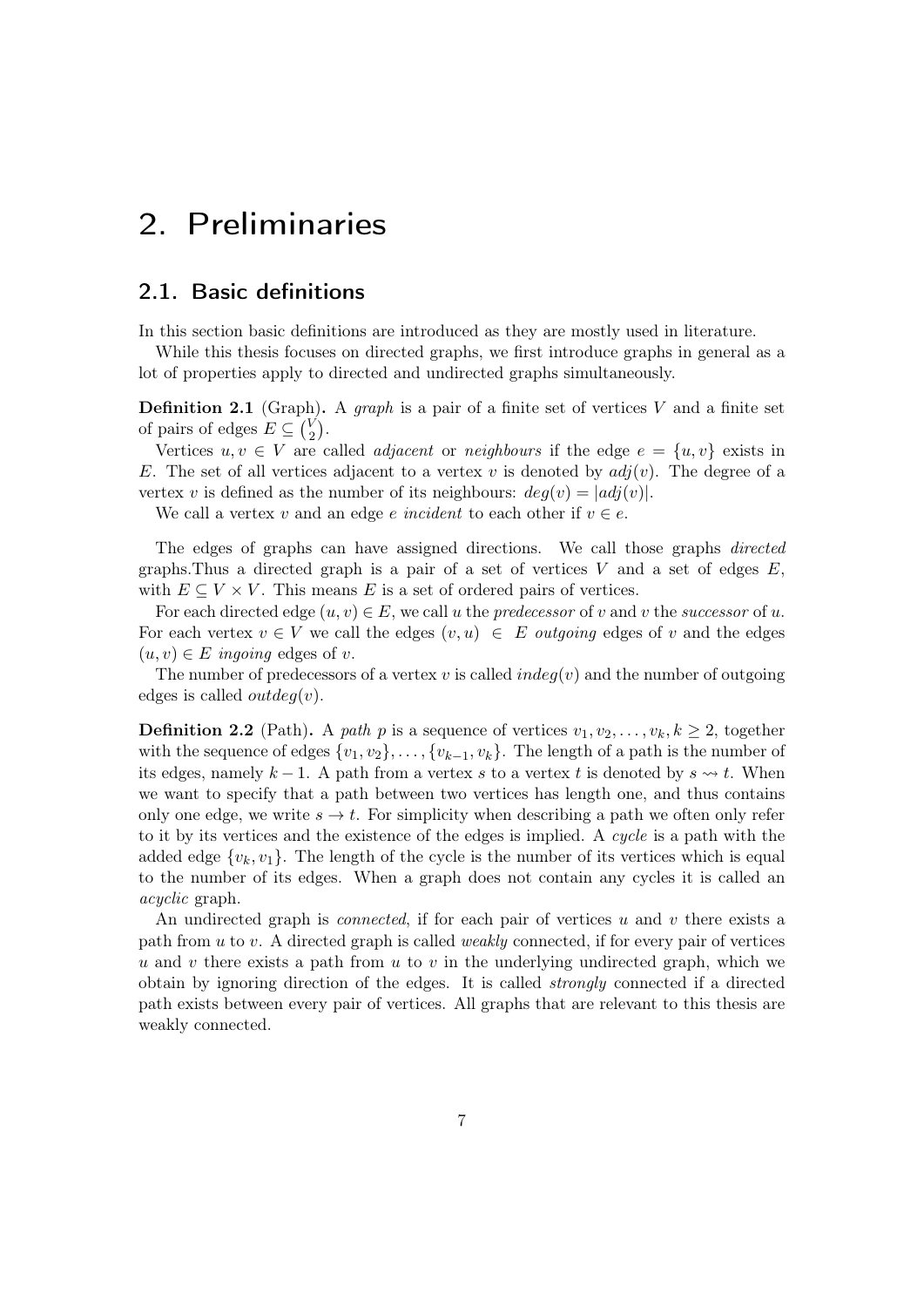### <span id="page-6-0"></span>2. Preliminaries

#### <span id="page-6-1"></span>2.1. Basic definitions

In this section basic definitions are introduced as they are mostly used in literature.

While this thesis focuses on directed graphs, we first introduce graphs in general as a lot of properties apply to directed and undirected graphs simultaneously.

**Definition 2.1** (Graph). A *graph* is a pair of a finite set of vertices V and a finite set of pairs of edges  $E \subseteq {V \choose 2}$  ${V \choose 2}.$ 

Vertices  $u, v \in V$  are called *adjacent* or *neighbours* if the edge  $e = \{u, v\}$  exists in E. The set of all vertices adjacent to a vertex v is denoted by  $adj(v)$ . The degree of a vertex v is defined as the number of its neighbours:  $deg(v) = |adj(v)|$ .

We call a vertex v and an edge e incident to each other if  $v \in e$ .

The edges of graphs can have assigned directions. We call those graphs directed graphs. Thus a directed graph is a pair of a set of vertices  $V$  and a set of edges  $E$ , with  $E \subseteq V \times V$ . This means E is a set of ordered pairs of vertices.

For each directed edge  $(u, v) \in E$ , we call u the *predecessor* of v and v the *successor* of u. For each vertex  $v \in V$  we call the edges  $(v, u) \in E$  *outgoing* edges of v and the edges  $(u, v) \in E$  ingoing edges of v.

The number of predecessors of a vertex v is called  $indeg(v)$  and the number of outgoing edges is called *outdeg(v)*.

**Definition 2.2** (Path). A path p is a sequence of vertices  $v_1, v_2, \ldots, v_k, k \geq 2$ , together with the sequence of edges  $\{v_1, v_2\}, \ldots, \{v_{k-1}, v_k\}$ . The length of a path is the number of its edges, namely  $k-1$ . A path from a vertex s to a vertex t is denoted by  $s \rightarrow t$ . When we want to specify that a path between two vertices has length one, and thus contains only one edge, we write  $s \to t$ . For simplicity when describing a path we often only refer to it by its vertices and the existence of the edges is implied. A cycle is a path with the added edge  $\{v_k, v_1\}$ . The length of the cycle is the number of its vertices which is equal to the number of its edges. When a graph does not contain any cycles it is called an acyclic graph.

An undirected graph is *connected*, if for each pair of vertices u and v there exists a path from  $u$  to  $v$ . A directed graph is called *weakly* connected, if for every pair of vertices u and v there exists a path from u to v in the underlying undirected graph, which we obtain by ignoring direction of the edges. It is called *strongly* connected if a directed path exists between every pair of vertices. All graphs that are relevant to this thesis are weakly connected.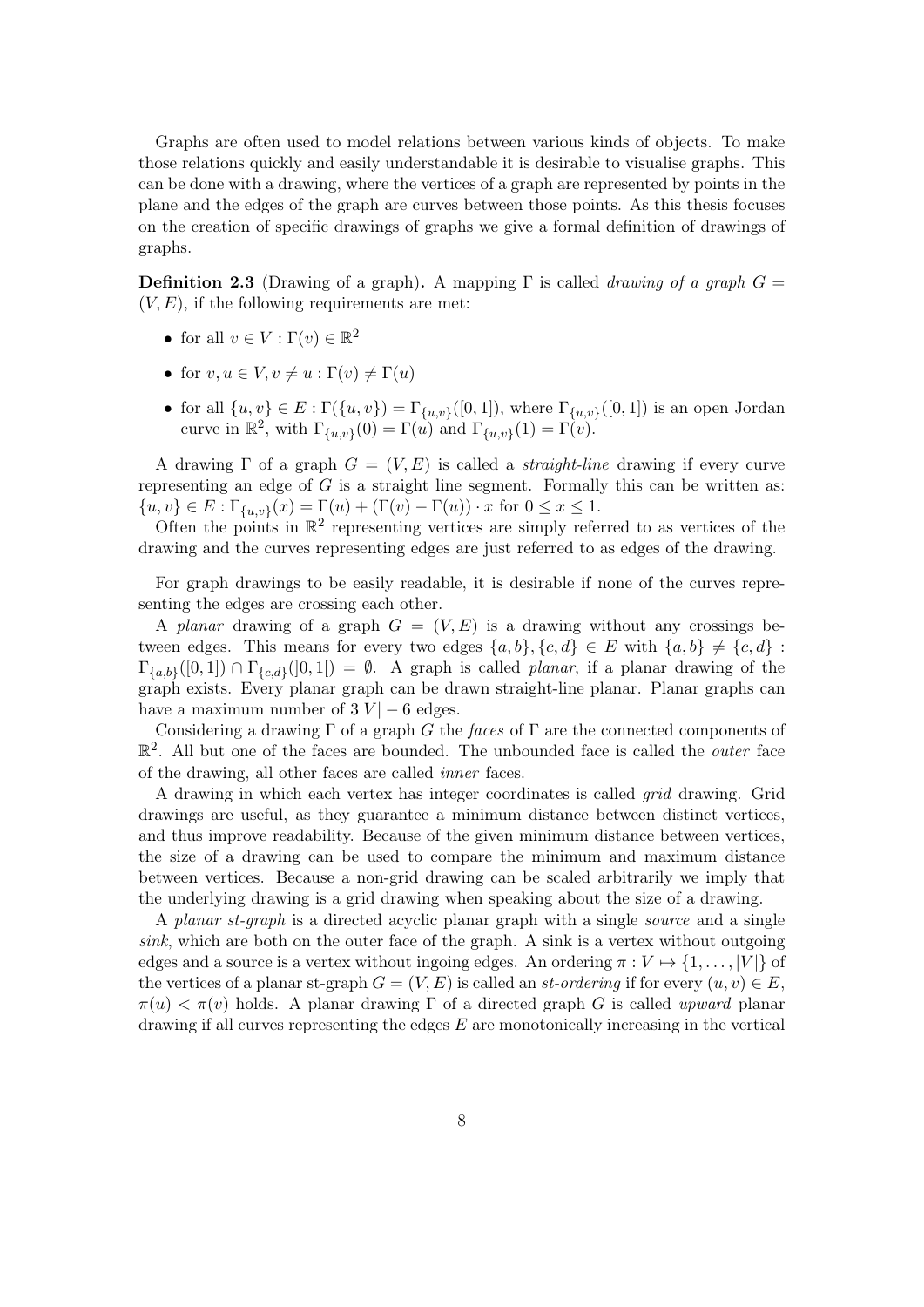Graphs are often used to model relations between various kinds of objects. To make those relations quickly and easily understandable it is desirable to visualise graphs. This can be done with a drawing, where the vertices of a graph are represented by points in the plane and the edges of the graph are curves between those points. As this thesis focuses on the creation of specific drawings of graphs we give a formal definition of drawings of graphs.

**Definition 2.3** (Drawing of a graph). A mapping  $\Gamma$  is called *drawing of a graph*  $G =$  $(V, E)$ , if the following requirements are met:

- for all  $v \in V : \Gamma(v) \in \mathbb{R}^2$
- for  $v, u \in V, v \neq u : \Gamma(v) \neq \Gamma(u)$
- for all  $\{u, v\} \in E : \Gamma(\{u, v\}) = \Gamma_{\{u, v\}}([0, 1]),$  where  $\Gamma_{\{u, v\}}([0, 1])$  is an open Jordan curve in  $\mathbb{R}^2$ , with  $\Gamma_{\{u,v\}}(0) = \Gamma(u)$  and  $\Gamma_{\{u,v\}}(1) = \Gamma(v)$ .

A drawing  $\Gamma$  of a graph  $G = (V, E)$  is called a *straight-line* drawing if every curve representing an edge of  $G$  is a straight line segment. Formally this can be written as:  $\{u, v\} \in E : \Gamma_{\{u, v\}}(x) = \Gamma(u) + (\Gamma(v) - \Gamma(u)) \cdot x$  for  $0 \le x \le 1$ .

Often the points in  $\mathbb{R}^2$  representing vertices are simply referred to as vertices of the drawing and the curves representing edges are just referred to as edges of the drawing.

For graph drawings to be easily readable, it is desirable if none of the curves representing the edges are crossing each other.

A planar drawing of a graph  $G = (V, E)$  is a drawing without any crossings between edges. This means for every two edges  $\{a, b\}, \{c, d\} \in E$  with  $\{a, b\} \neq \{c, d\}$ :  $\Gamma_{\{a,b\}}([0,1]) \cap \Gamma_{\{c,d\}}([0,1]) = \emptyset$ . A graph is called *planar*, if a planar drawing of the graph exists. Every planar graph can be drawn straight-line planar. Planar graphs can have a maximum number of  $3|V| - 6$  edges.

Considering a drawing  $\Gamma$  of a graph G the faces of  $\Gamma$  are the connected components of  $\mathbb{R}^2$ . All but one of the faces are bounded. The unbounded face is called the *outer* face of the drawing, all other faces are called inner faces.

A drawing in which each vertex has integer coordinates is called grid drawing. Grid drawings are useful, as they guarantee a minimum distance between distinct vertices, and thus improve readability. Because of the given minimum distance between vertices, the size of a drawing can be used to compare the minimum and maximum distance between vertices. Because a non-grid drawing can be scaled arbitrarily we imply that the underlying drawing is a grid drawing when speaking about the size of a drawing.

A planar st-graph is a directed acyclic planar graph with a single source and a single sink, which are both on the outer face of the graph. A sink is a vertex without outgoing edges and a source is a vertex without ingoing edges. An ordering  $\pi: V \mapsto \{1, \ldots, |V|\}$  of the vertices of a planar st-graph  $G = (V, E)$  is called an st-ordering if for every  $(u, v) \in E$ ,  $\pi(u) < \pi(v)$  holds. A planar drawing  $\Gamma$  of a directed graph G is called upward planar drawing if all curves representing the edges  $E$  are monotonically increasing in the vertical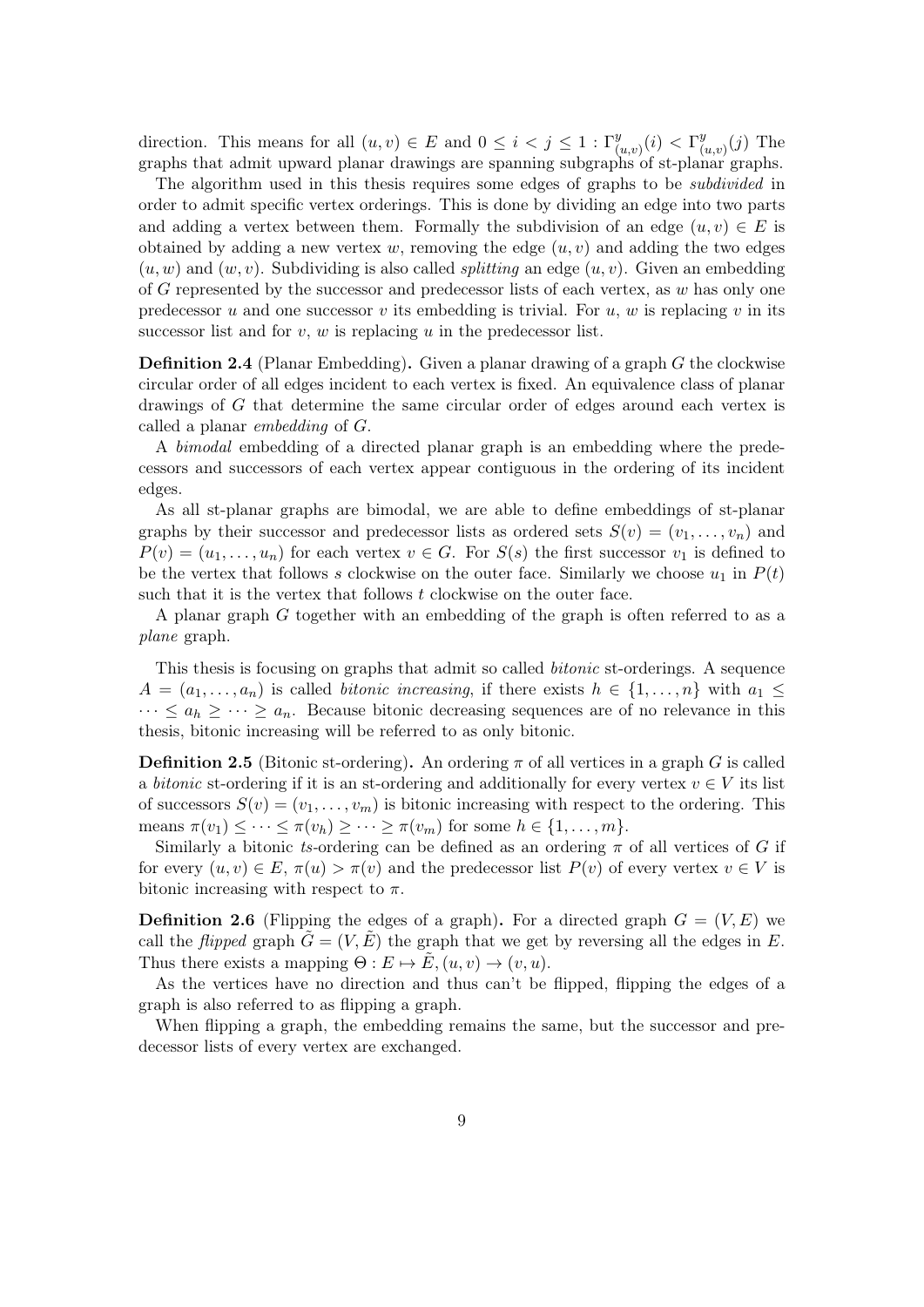direction. This means for all  $(u, v) \in E$  and  $0 \leq i < j \leq 1$  :  $\Gamma_{(u, v)}^y(i) < \Gamma_{(u, v)}^y$  $\binom{y}{(u,v)}(j)$  The graphs that admit upward planar drawings are spanning subgraphs of st-planar graphs.

The algorithm used in this thesis requires some edges of graphs to be subdivided in order to admit specific vertex orderings. This is done by dividing an edge into two parts and adding a vertex between them. Formally the subdivision of an edge  $(u, v) \in E$  is obtained by adding a new vertex w, removing the edge  $(u, v)$  and adding the two edges  $(u, w)$  and  $(w, v)$ . Subdividing is also called *splitting* an edge  $(u, v)$ . Given an embedding of G represented by the successor and predecessor lists of each vertex, as  $w$  has only one predecessor u and one successor v its embedding is trivial. For u, w is replacing v in its successor list and for  $v, w$  is replacing  $u$  in the predecessor list.

Definition 2.4 (Planar Embedding). Given a planar drawing of a graph G the clockwise circular order of all edges incident to each vertex is fixed. An equivalence class of planar drawings of G that determine the same circular order of edges around each vertex is called a planar embedding of G.

A bimodal embedding of a directed planar graph is an embedding where the predecessors and successors of each vertex appear contiguous in the ordering of its incident edges.

As all st-planar graphs are bimodal, we are able to define embeddings of st-planar graphs by their successor and predecessor lists as ordered sets  $S(v) = (v_1, \ldots, v_n)$  and  $P(v) = (u_1, \ldots, u_n)$  for each vertex  $v \in G$ . For  $S(s)$  the first successor  $v_1$  is defined to be the vertex that follows s clockwise on the outer face. Similarly we choose  $u_1$  in  $P(t)$ such that it is the vertex that follows  $t$  clockwise on the outer face.

A planar graph G together with an embedding of the graph is often referred to as a plane graph.

This thesis is focusing on graphs that admit so called bitonic st-orderings. A sequence  $A = (a_1, \ldots, a_n)$  is called *bitonic increasing*, if there exists  $h \in \{1, \ldots, n\}$  with  $a_1 \leq$  $\cdots \le a_h \ge \cdots \ge a_n$ . Because bitonic decreasing sequences are of no relevance in this thesis, bitonic increasing will be referred to as only bitonic.

**Definition 2.5** (Bitonic st-ordering). An ordering  $\pi$  of all vertices in a graph G is called a bitonic st-ordering if it is an st-ordering and additionally for every vertex  $v \in V$  its list of successors  $S(v) = (v_1, \ldots, v_m)$  is bitonic increasing with respect to the ordering. This means  $\pi(v_1) \leq \cdots \leq \pi(v_h) \geq \cdots \geq \pi(v_m)$  for some  $h \in \{1, \ldots, m\}.$ 

Similarly a bitonic ts-ordering can be defined as an ordering  $\pi$  of all vertices of G if for every  $(u, v) \in E$ ,  $\pi(u) > \pi(v)$  and the predecessor list  $P(v)$  of every vertex  $v \in V$  is bitonic increasing with respect to  $\pi$ .

**Definition 2.6** (Flipping the edges of a graph). For a directed graph  $G = (V, E)$  we call the *flipped* graph  $G = (V, E)$  the graph that we get by reversing all the edges in E. Thus there exists a mapping  $\Theta: E \mapsto E, (u, v) \mapsto (v, u)$ .

As the vertices have no direction and thus can't be flipped, flipping the edges of a graph is also referred to as flipping a graph.

When flipping a graph, the embedding remains the same, but the successor and predecessor lists of every vertex are exchanged.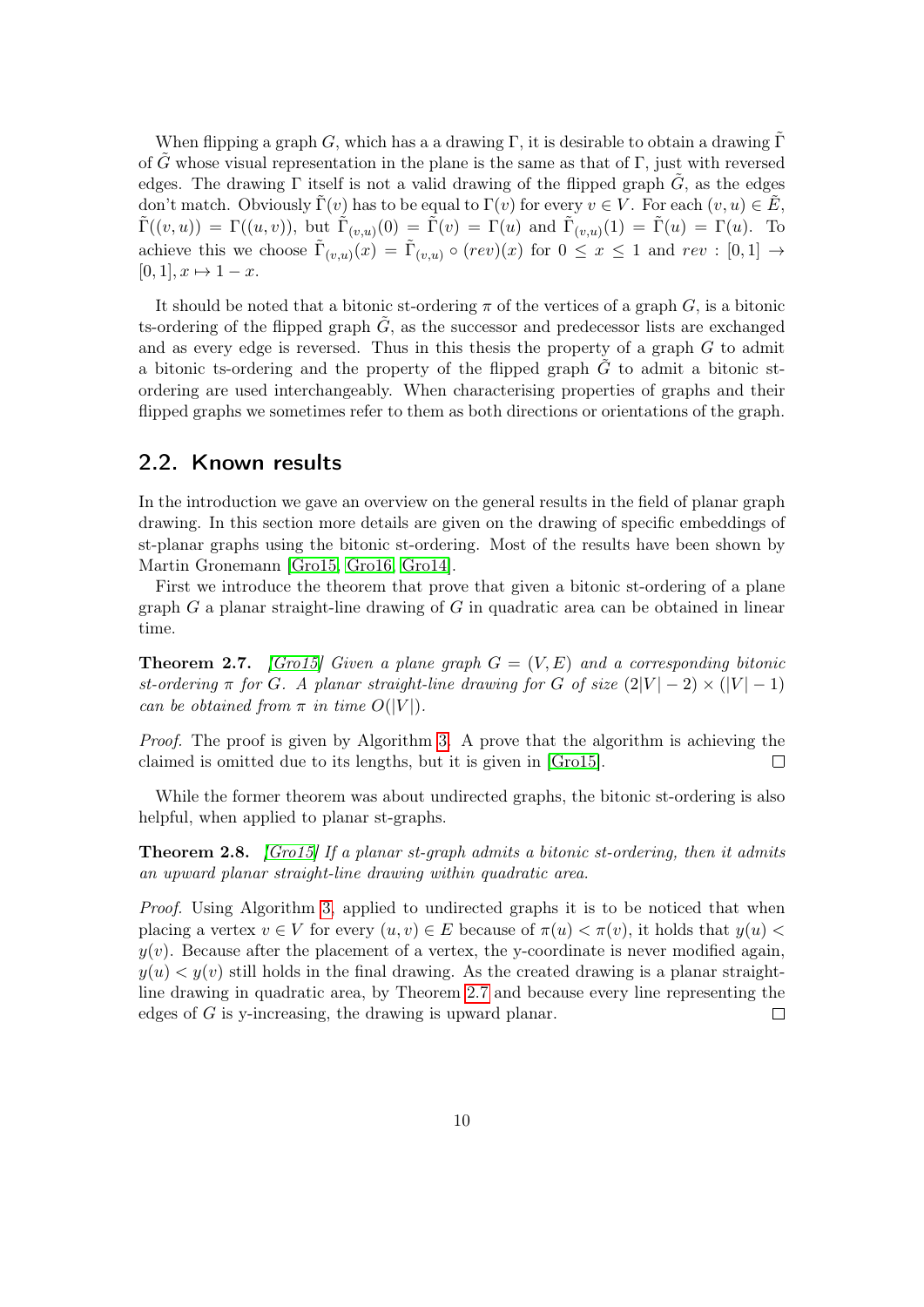When flipping a graph G, which has a a drawing  $\Gamma$ , it is desirable to obtain a drawing  $\Gamma$ of G whose visual representation in the plane is the same as that of Γ, just with reversed edges. The drawing  $\Gamma$  itself is not a valid drawing of the flipped graph  $\tilde{G}$ , as the edges don't match. Obviously  $\Gamma(v)$  has to be equal to  $\Gamma(v)$  for every  $v \in V$ . For each  $(v, u) \in \tilde{E}$ ,  $\tilde{\Gamma}((v,u)) = \Gamma((u,v))$ , but  $\tilde{\Gamma}_{(v,u)}(0) = \tilde{\Gamma}(v) = \Gamma(u)$  and  $\tilde{\Gamma}_{(v,u)}(1) = \tilde{\Gamma}(u) = \Gamma(u)$ . To achieve this we choose  $\tilde{\Gamma}_{(v,u)}(x) = \tilde{\Gamma}_{(v,u)} \circ (rev)(x)$  for  $0 \le x \le 1$  and  $rev : [0,1] \to$  $[0, 1], x \mapsto 1 - x.$ 

It should be noted that a bitonic st-ordering  $\pi$  of the vertices of a graph  $G$ , is a bitonic ts-ordering of the flipped graph  $\tilde{G}$ , as the successor and predecessor lists are exchanged and as every edge is reversed. Thus in this thesis the property of a graph  $G$  to admit a bitonic ts-ordering and the property of the flipped graph  $G$  to admit a bitonic stordering are used interchangeably. When characterising properties of graphs and their flipped graphs we sometimes refer to them as both directions or orientations of the graph.

#### <span id="page-9-0"></span>2.2. Known results

In the introduction we gave an overview on the general results in the field of planar graph drawing. In this section more details are given on the drawing of specific embeddings of st-planar graphs using the bitonic st-ordering. Most of the results have been shown by Martin Gronemann [\[Gro15,](#page-30-8) [Gro16,](#page-30-9) [Gro14\]](#page-30-7).

First we introduce the theorem that prove that given a bitonic st-ordering of a plane graph  $G$  a planar straight-line drawing of  $G$  in quadratic area can be obtained in linear time.

<span id="page-9-1"></span>**Theorem 2.7.** [\[Gro15\]](#page-30-8) Given a plane graph  $G = (V, E)$  and a corresponding bitonic st-ordering  $\pi$  for G. A planar straight-line drawing for G of size  $(2|V| - 2) \times (|V| - 1)$ can be obtained from  $\pi$  in time  $O(|V|)$ .

Proof. The proof is given by Algorithm [3.](#page-34-0) A prove that the algorithm is achieving the claimed is omitted due to its lengths, but it is given in [\[Gro15\]](#page-30-8).  $\Box$ 

While the former theorem was about undirected graphs, the bitonic st-ordering is also helpful, when applied to planar st-graphs.

Theorem 2.8. [\[Gro15\]](#page-30-8) If a planar st-graph admits a bitonic st-ordering, then it admits an upward planar straight-line drawing within quadratic area.

Proof. Using Algorithm [3,](#page-34-0) applied to undirected graphs it is to be noticed that when placing a vertex  $v \in V$  for every  $(u, v) \in E$  because of  $\pi(u) < \pi(v)$ , it holds that  $y(u) <$  $y(v)$ . Because after the placement of a vertex, the y-coordinate is never modified again,  $y(u) < y(v)$  still holds in the final drawing. As the created drawing is a planar straightline drawing in quadratic area, by Theorem [2.7](#page-9-1) and because every line representing the edges of G is y-increasing, the drawing is upward planar.  $\Box$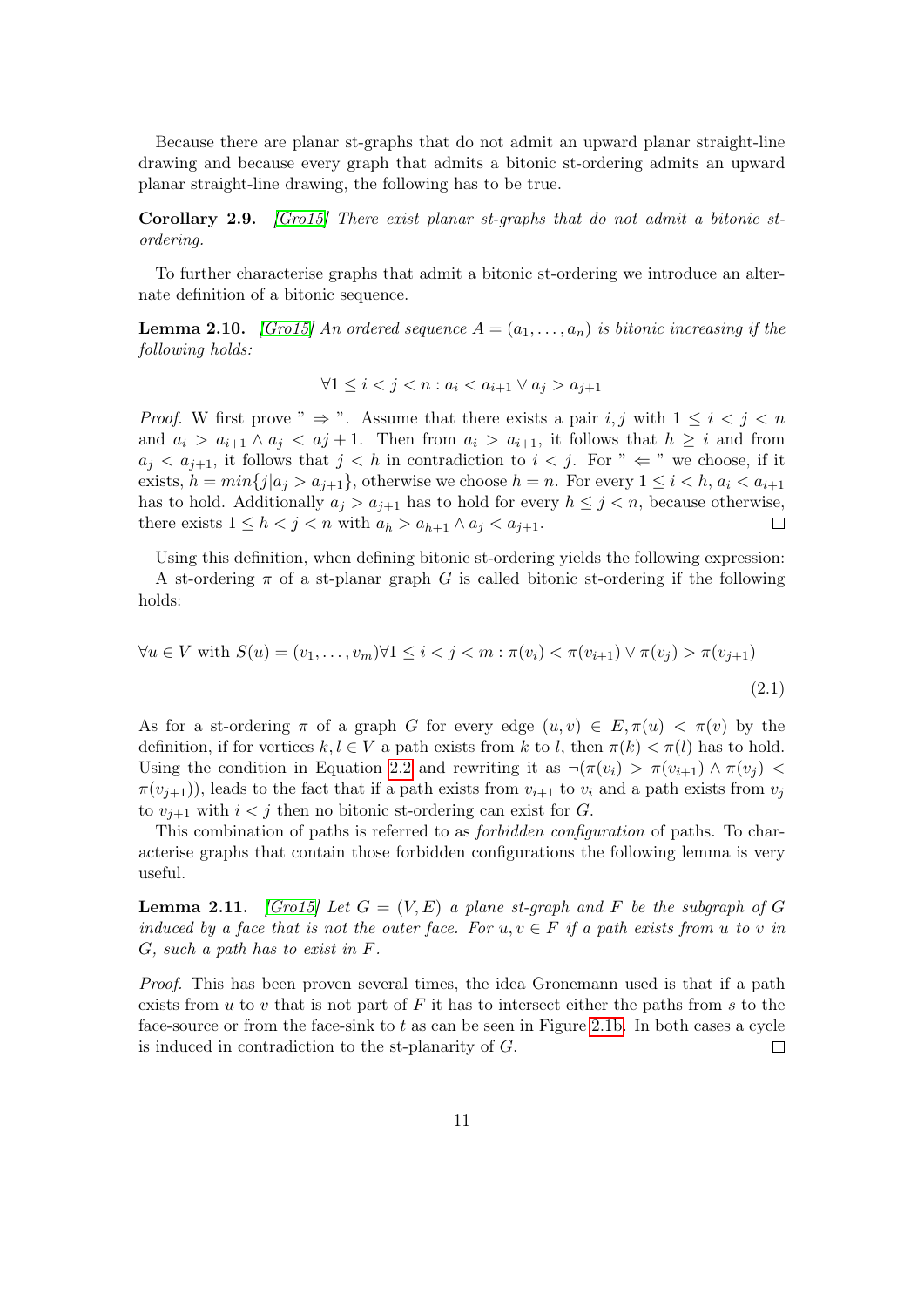Because there are planar st-graphs that do not admit an upward planar straight-line drawing and because every graph that admits a bitonic st-ordering admits an upward planar straight-line drawing, the following has to be true.

Corollary 2.9. [\[Gro15\]](#page-30-8) There exist planar st-graphs that do not admit a bitonic stordering.

To further characterise graphs that admit a bitonic st-ordering we introduce an alternate definition of a bitonic sequence.

**Lemma 2.10.** [\[Gro15\]](#page-30-8) An ordered sequence  $A = (a_1, \ldots, a_n)$  is bitonic increasing if the following holds:

<span id="page-10-0"></span>
$$
\forall 1 \le i < j < n : a_i < a_{i+1} \lor a_j > a_{j+1}
$$

*Proof.* W first prove "  $\Rightarrow$  ". Assume that there exists a pair i, j with  $1 \leq i \leq j \leq n$ and  $a_i > a_{i+1} \wedge a_i < a_j + 1$ . Then from  $a_i > a_{i+1}$ , it follows that  $h \geq i$  and from  $a_j < a_{j+1}$ , it follows that  $j < h$  in contradiction to  $i < j$ . For "  $\Leftarrow$  " we choose, if it exists,  $h = min\{j | a_j > a_{i+1}\}\$ , otherwise we choose  $h = n$ . For every  $1 \leq i < h$ ,  $a_i < a_{i+1}$ has to hold. Additionally  $a_i > a_{i+1}$  has to hold for every  $h \leq j < n$ , because otherwise, there exists  $1 \leq h < j < n$  with  $a_h > a_{h+1} \wedge a_j < a_{j+1}$ .  $\Box$ 

Using this definition, when defining bitonic st-ordering yields the following expression: A st-ordering  $\pi$  of a st-planar graph G is called bitonic st-ordering if the following holds:

$$
\forall u \in V \text{ with } S(u) = (v_1, \dots, v_m) \forall 1 \le i < j < m : \pi(v_i) < \pi(v_{i+1}) \lor \pi(v_j) > \pi(v_{j+1})
$$
\n(2.1)

As for a st-ordering  $\pi$  of a graph G for every edge  $(u, v) \in E, \pi(u) < \pi(v)$  by the definition, if for vertices  $k, l \in V$  a path exists from k to l, then  $\pi(k) < \pi(l)$  has to hold. Using the condition in Equation [2.2](#page-10-0) and rewriting it as  $\neg(\pi(v_i) > \pi(v_{i+1}) \land \pi(v_i)$  $\pi(v_{i+1})$ ), leads to the fact that if a path exists from  $v_{i+1}$  to  $v_i$  and a path exists from  $v_i$ to  $v_{i+1}$  with  $i < j$  then no bitonic st-ordering can exist for G.

This combination of paths is referred to as forbidden configuration of paths. To characterise graphs that contain those forbidden configurations the following lemma is very useful.

<span id="page-10-1"></span>**Lemma 2.11.** [\[Gro15\]](#page-30-8) Let  $G = (V, E)$  a plane st-graph and F be the subgraph of G induced by a face that is not the outer face. For  $u, v \in F$  if a path exists from u to v in G, such a path has to exist in F.

Proof. This has been proven several times, the idea Gronemann used is that if a path exists from u to v that is not part of  $F$  it has to intersect either the paths from s to the face-source or from the face-sink to  $t$  as can be seen in Figure [2.1b.](#page-11-0) In both cases a cycle is induced in contradiction to the st-planarity of G.  $\Box$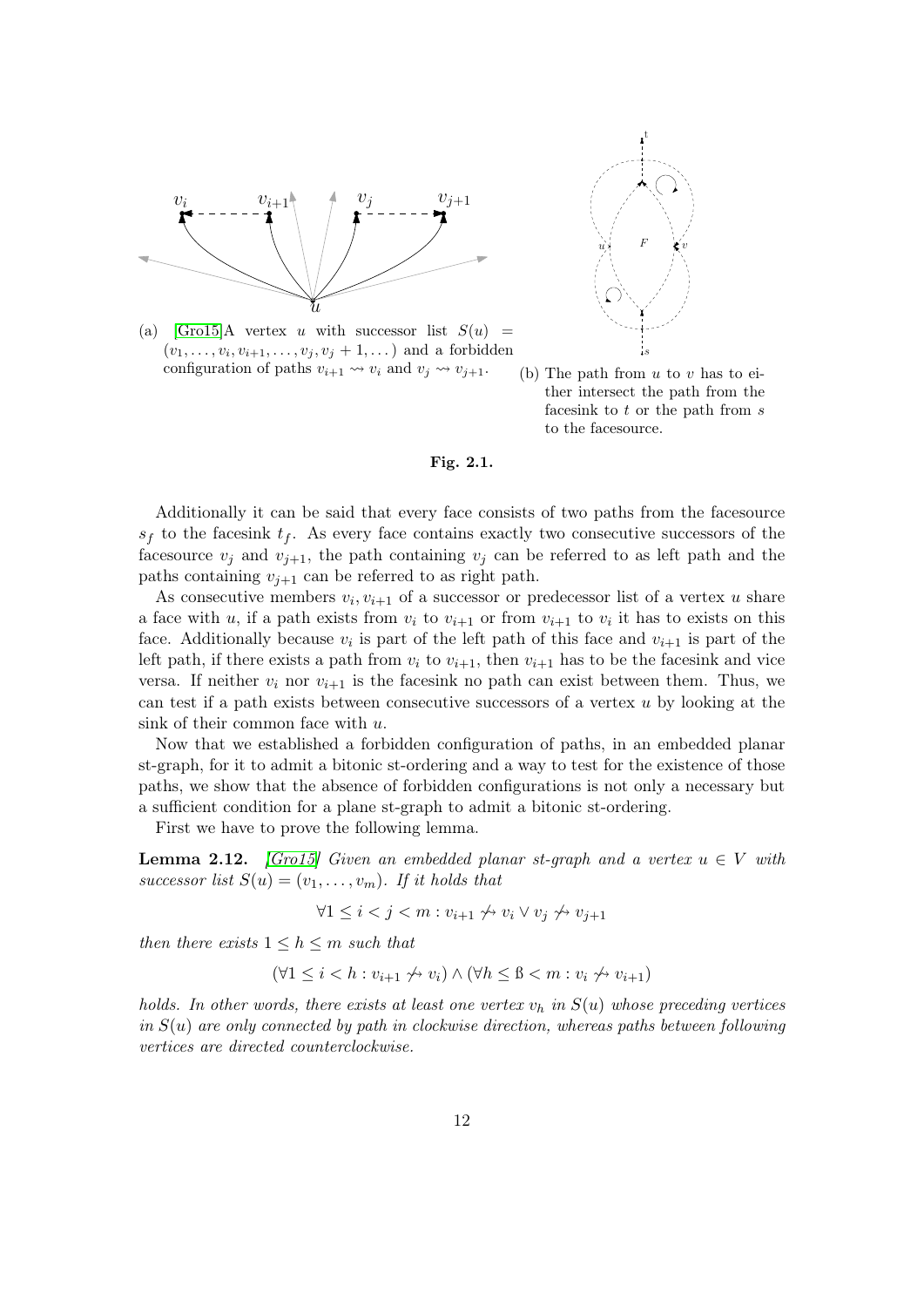<span id="page-11-0"></span>

(a)  $[Gro15]A$  $[Gro15]A$  vertex u with successor list  $S(u)$  =  $(v_1, \ldots, v_i, v_{i+1}, \ldots, v_j, v_j + 1, \ldots)$  and a forbidden configuration of paths  $v_{i+1} \rightsquigarrow v_i$  and  $v_j \rightsquigarrow v_{j+1}$ .



(b) The path from  $u$  to  $v$  has to either intersect the path from the faces in k to  $t$  or the path from  $s$ to the facesource.

#### Fig. 2.1.

Additionally it can be said that every face consists of two paths from the facesource  $s_f$  to the facesink  $t_f$ . As every face contains exactly two consecutive successors of the facesource  $v_j$  and  $v_{j+1}$ , the path containing  $v_j$  can be referred to as left path and the paths containing  $v_{j+1}$  can be referred to as right path.

As consecutive members  $v_i, v_{i+1}$  of a successor or predecessor list of a vertex u share a face with u, if a path exists from  $v_i$  to  $v_{i+1}$  or from  $v_{i+1}$  to  $v_i$  it has to exists on this face. Additionally because  $v_i$  is part of the left path of this face and  $v_{i+1}$  is part of the left path, if there exists a path from  $v_i$  to  $v_{i+1}$ , then  $v_{i+1}$  has to be the facesink and vice versa. If neither  $v_i$  nor  $v_{i+1}$  is the facesink no path can exist between them. Thus, we can test if a path exists between consecutive successors of a vertex  $u$  by looking at the sink of their common face with u.

Now that we established a forbidden configuration of paths, in an embedded planar st-graph, for it to admit a bitonic st-ordering and a way to test for the existence of those paths, we show that the absence of forbidden configurations is not only a necessary but a sufficient condition for a plane st-graph to admit a bitonic st-ordering.

First we have to prove the following lemma.

<span id="page-11-1"></span>**Lemma 2.12.** [\[Gro15\]](#page-30-8) Given an embedded planar st-graph and a vertex  $u \in V$  with successor list  $S(u) = (v_1, \ldots, v_m)$ . If it holds that

$$
\forall 1 \le i < j < m : v_{i+1} \not\rightsquigarrow v_i \vee v_j \not\rightsquigarrow v_{j+1}
$$

then there exists  $1 \leq h \leq m$  such that

$$
(\forall 1 \leq i < h : v_{i+1} \not\rightsquigarrow v_i) \land (\forall h \leq \beta < m : v_i \not\rightsquigarrow v_{i+1})
$$

holds. In other words, there exists at least one vertex  $v_h$  in  $S(u)$  whose preceding vertices in  $S(u)$  are only connected by path in clockwise direction, whereas paths between following vertices are directed counterclockwise.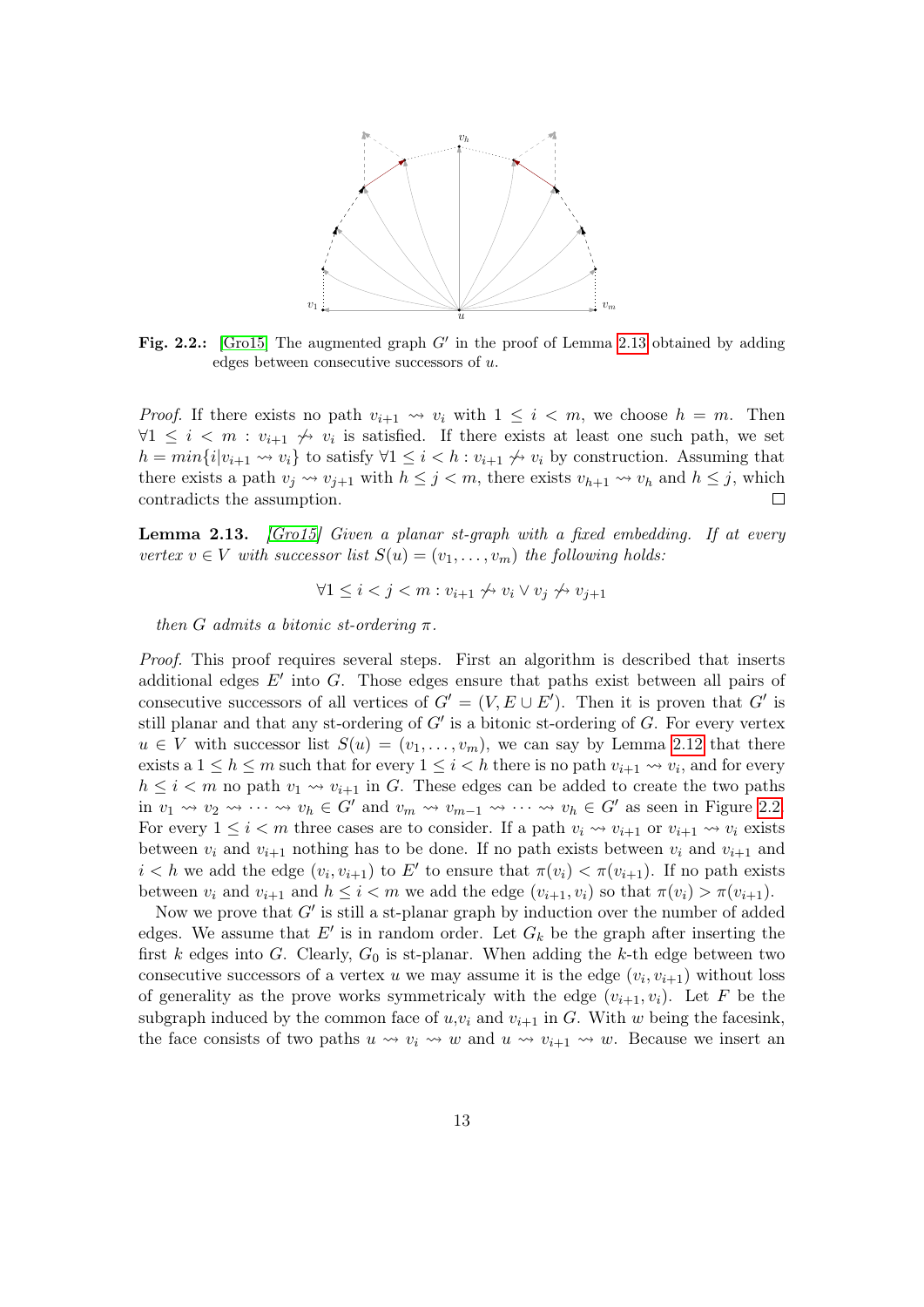<span id="page-12-1"></span>

Fig. 2.2.: [\[Gro15\]](#page-30-8) The augmented graph  $G'$  in the proof of Lemma [2.13](#page-12-0) obtained by adding edges between consecutive successors of u.

*Proof.* If there exists no path  $v_{i+1} \rightarrow v_i$  with  $1 \leq i \leq m$ , we choose  $h = m$ . Then  $\forall 1 \leq i \leq m : v_{i+1} \nleftrightarrow v_i$  is satisfied. If there exists at least one such path, we set  $h = min\{i|v_{i+1} \leadsto v_i\}$  to satisfy  $\forall 1 \leq i < h : v_{i+1} \not\leadsto v_i$  by construction. Assuming that there exists a path  $v_j \leadsto v_{j+1}$  with  $h \leq j < m$ , there exists  $v_{h+1} \leadsto v_h$  and  $h \leq j$ , which contradicts the assumption.  $\Box$ 

<span id="page-12-0"></span>**Lemma 2.13.** [\[Gro15\]](#page-30-8) Given a planar st-graph with a fixed embedding. If at every vertex  $v \in V$  with successor list  $S(u) = (v_1, \ldots, v_m)$  the following holds:

$$
\forall 1 \le i < j < m : v_{i+1} \not\rightsquigarrow v_i \vee v_j \not\rightsquigarrow v_{j+1}
$$

then G admits a bitonic st-ordering  $\pi$ .

Proof. This proof requires several steps. First an algorithm is described that inserts additional edges  $E'$  into G. Those edges ensure that paths exist between all pairs of consecutive successors of all vertices of  $G' = (V, E \cup E')$ . Then it is proven that G' is still planar and that any st-ordering of  $G'$  is a bitonic st-ordering of  $G$ . For every vertex  $u \in V$  with successor list  $S(u) = (v_1, \ldots, v_m)$ , we can say by Lemma [2.12](#page-11-1) that there exists a  $1 \leq h \leq m$  such that for every  $1 \leq i < h$  there is no path  $v_{i+1} \leadsto v_i$ , and for every  $h \leq i < m$  no path  $v_1 \leadsto v_{i+1}$  in G. These edges can be added to create the two paths in  $v_1 \rightsquigarrow v_2 \rightsquigarrow \cdots \rightsquigarrow v_h \in G'$  and  $v_m \rightsquigarrow v_{m-1} \rightsquigarrow \cdots \rightsquigarrow v_h \in G'$  as seen in Figure [2.2.](#page-12-1) For every  $1 \leq i < m$  three cases are to consider. If a path  $v_i \leadsto v_{i+1}$  or  $v_{i+1} \leadsto v_i$  exists between  $v_i$  and  $v_{i+1}$  nothing has to be done. If no path exists between  $v_i$  and  $v_{i+1}$  and  $i < h$  we add the edge  $(v_i, v_{i+1})$  to E' to ensure that  $\pi(v_i) < \pi(v_{i+1})$ . If no path exists between  $v_i$  and  $v_{i+1}$  and  $h \leq i < m$  we add the edge  $(v_{i+1}, v_i)$  so that  $\pi(v_i) > \pi(v_{i+1})$ .

Now we prove that  $G'$  is still a st-planar graph by induction over the number of added edges. We assume that  $E'$  is in random order. Let  $G_k$  be the graph after inserting the first k edges into G. Clearly,  $G_0$  is st-planar. When adding the k-th edge between two consecutive successors of a vertex u we may assume it is the edge  $(v_i, v_{i+1})$  without loss of generality as the prove works symmetricaly with the edge  $(v_{i+1}, v_i)$ . Let F be the subgraph induced by the common face of  $u, v_i$  and  $v_{i+1}$  in G. With w being the facesink, the face consists of two paths  $u \leadsto v_i \leadsto w$  and  $u \leadsto v_{i+1} \leadsto w$ . Because we insert an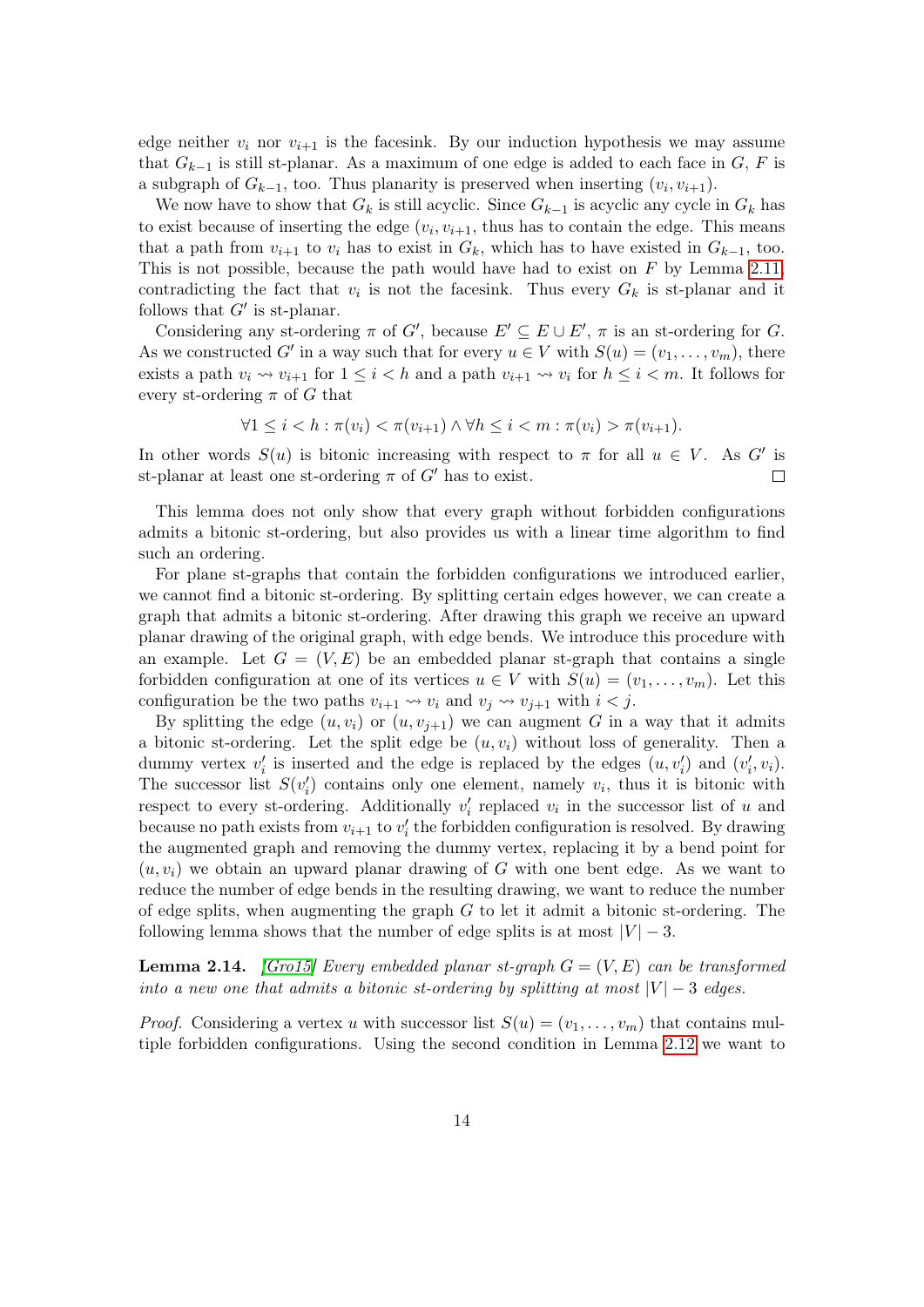edge neither  $v_i$  nor  $v_{i+1}$  is the facesink. By our induction hypothesis we may assume that  $G_{k-1}$  is still st-planar. As a maximum of one edge is added to each face in G, F is a subgraph of  $G_{k-1}$ , too. Thus planarity is preserved when inserting  $(v_i, v_{i+1})$ .

We now have to show that  $G_k$  is still acyclic. Since  $G_{k-1}$  is acyclic any cycle in  $G_k$  has to exist because of inserting the edge  $(v_i, v_{i+1},$  thus has to contain the edge. This means that a path from  $v_{i+1}$  to  $v_i$  has to exist in  $G_k$ , which has to have existed in  $G_{k-1}$ , too. This is not possible, because the path would have had to exist on  $F$  by Lemma [2.11,](#page-10-1) contradicting the fact that  $v_i$  is not the facesink. Thus every  $G_k$  is st-planar and it follows that  $G'$  is st-planar.

Considering any st-ordering  $\pi$  of G', because  $E' \subseteq E \cup E'$ ,  $\pi$  is an st-ordering for G. As we constructed G' in a way such that for every  $u \in V$  with  $S(u) = (v_1, \ldots, v_m)$ , there exists a path  $v_i \rightsquigarrow v_{i+1}$  for  $1 \leq i < h$  and a path  $v_{i+1} \rightsquigarrow v_i$  for  $h \leq i < m$ . It follows for every st-ordering  $\pi$  of G that

$$
\forall 1 \leq i < h : \pi(v_i) < \pi(v_{i+1}) \land \forall h \leq i < m : \pi(v_i) > \pi(v_{i+1}).
$$

In other words  $S(u)$  is bitonic increasing with respect to  $\pi$  for all  $u \in V$ . As G' is st-planar at least one st-ordering  $\pi$  of  $G'$  has to exist.  $\Box$ 

This lemma does not only show that every graph without forbidden configurations admits a bitonic st-ordering, but also provides us with a linear time algorithm to find such an ordering.

For plane st-graphs that contain the forbidden configurations we introduced earlier, we cannot find a bitonic st-ordering. By splitting certain edges however, we can create a graph that admits a bitonic st-ordering. After drawing this graph we receive an upward planar drawing of the original graph, with edge bends. We introduce this procedure with an example. Let  $G = (V, E)$  be an embedded planar st-graph that contains a single forbidden configuration at one of its vertices  $u \in V$  with  $S(u) = (v_1, \ldots, v_m)$ . Let this configuration be the two paths  $v_{i+1} \rightsquigarrow v_i$  and  $v_j \rightsquigarrow v_{j+1}$  with  $i < j$ .

By splitting the edge  $(u, v_i)$  or  $(u, v_{i+1})$  we can augment G in a way that it admits a bitonic st-ordering. Let the split edge be  $(u, v_i)$  without loss of generality. Then a dummy vertex  $v'_i$  is inserted and the edge is replaced by the edges  $(u, v'_i)$  and  $(v'_i, v_i)$ . The successor list  $S(v_i')$  contains only one element, namely  $v_i$ , thus it is bitonic with respect to every st-ordering. Additionally  $v'_i$  replaced  $v_i$  in the successor list of u and because no path exists from  $v_{i+1}$  to  $v'_i$  the forbidden configuration is resolved. By drawing the augmented graph and removing the dummy vertex, replacing it by a bend point for  $(u, v_i)$  we obtain an upward planar drawing of G with one bent edge. As we want to reduce the number of edge bends in the resulting drawing, we want to reduce the number of edge splits, when augmenting the graph  $G$  to let it admit a bitonic st-ordering. The following lemma shows that the number of edge splits is at most  $|V| - 3$ .

<span id="page-13-0"></span>**Lemma 2.14.** *[\[Gro15\]](#page-30-8) Every embedded planar st-graph*  $G = (V, E)$  can be transformed into a new one that admits a bitonic st-ordering by splitting at most  $|V| - 3$  edges.

*Proof.* Considering a vertex u with successor list  $S(u) = (v_1, \ldots, v_m)$  that contains multiple forbidden configurations. Using the second condition in Lemma [2.12](#page-11-1) we want to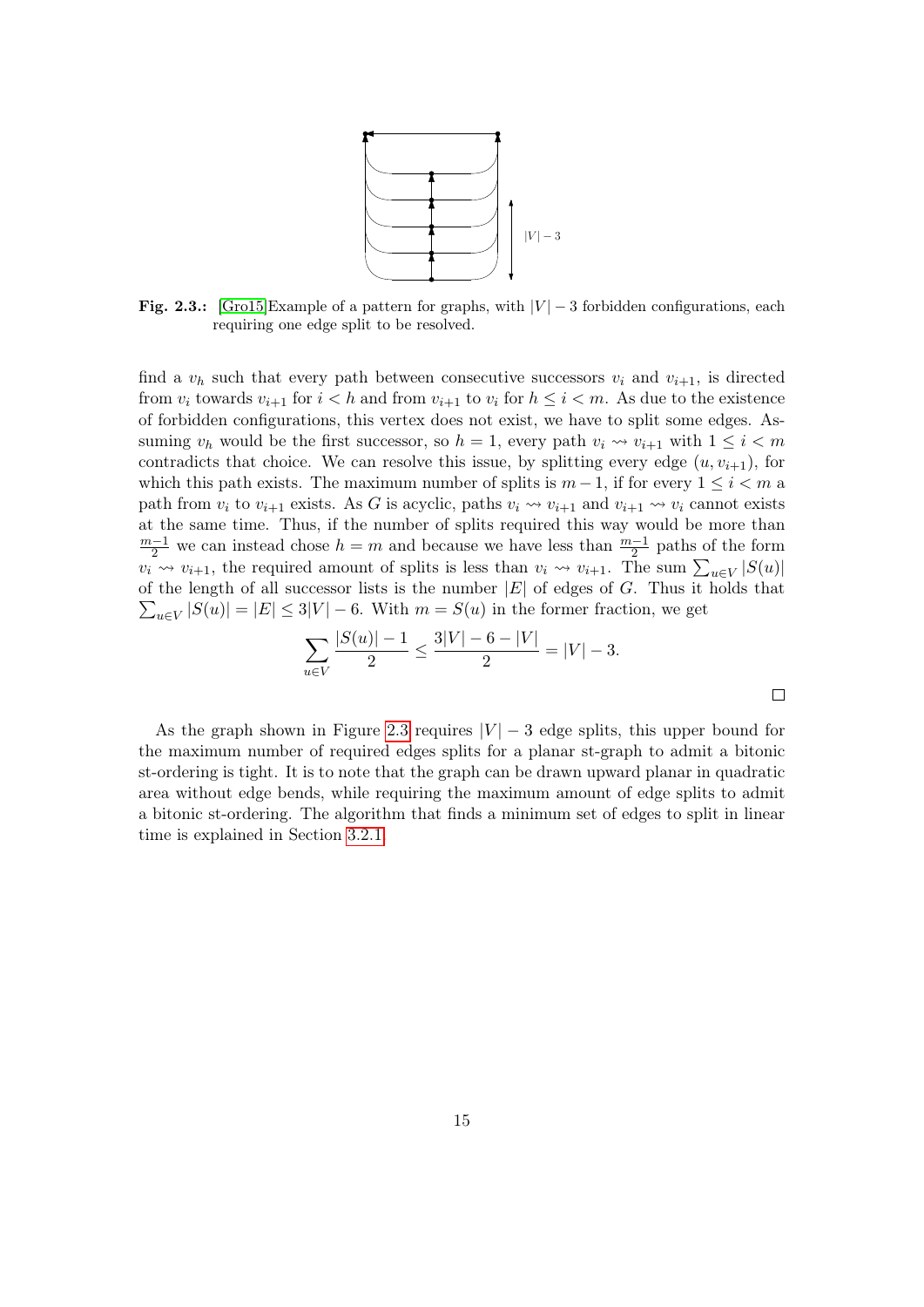

<span id="page-14-0"></span>Fig. 2.3.: [\[Gro15\]](#page-30-8)Example of a pattern for graphs, with  $|V| - 3$  forbidden configurations, each requiring one edge split to be resolved.

find a  $v_h$  such that every path between consecutive successors  $v_i$  and  $v_{i+1}$ , is directed from  $v_i$  towards  $v_{i+1}$  for  $i < h$  and from  $v_{i+1}$  to  $v_i$  for  $h \leq i < m$ . As due to the existence of forbidden configurations, this vertex does not exist, we have to split some edges. Assuming  $v_h$  would be the first successor, so  $h = 1$ , every path  $v_i \rightsquigarrow v_{i+1}$  with  $1 \leq i < m$ contradicts that choice. We can resolve this issue, by splitting every edge  $(u, v_{i+1})$ , for which this path exists. The maximum number of splits is  $m-1$ , if for every  $1 \leq i < m$  a path from  $v_i$  to  $v_{i+1}$  exists. As G is acyclic, paths  $v_i \leadsto v_{i+1}$  and  $v_{i+1} \leadsto v_i$  cannot exists at the same time. Thus, if the number of splits required this way would be more than  $\frac{m-1}{2}$  we can instead chose  $h = m$  and because we have less than  $\frac{m-1}{2}$  paths of the form  $v_i \rightarrow v_{i+1}$ , the required amount of splits is less than  $v_i \rightarrow v_{i+1}$ . The sum  $\sum_{u \in V} |S(u)|$  $\sum_{u \in V} |S(u)| = |E| \le 3|V| - 6$ . With  $m = S(u)$  in the former fraction, we get of the length of all successor lists is the number  $|E|$  of edges of G. Thus it holds that

$$
\sum_{u \in V} \frac{|S(u)| - 1}{2} \le \frac{3|V| - 6 - |V|}{2} = |V| - 3.
$$

As the graph shown in Figure [2.3](#page-14-0) requires  $|V| - 3$  edge splits, this upper bound for the maximum number of required edges splits for a planar st-graph to admit a bitonic st-ordering is tight. It is to note that the graph can be drawn upward planar in quadratic area without edge bends, while requiring the maximum amount of edge splits to admit a bitonic st-ordering. The algorithm that finds a minimum set of edges to split in linear time is explained in Section [3.2.1.](#page-16-1)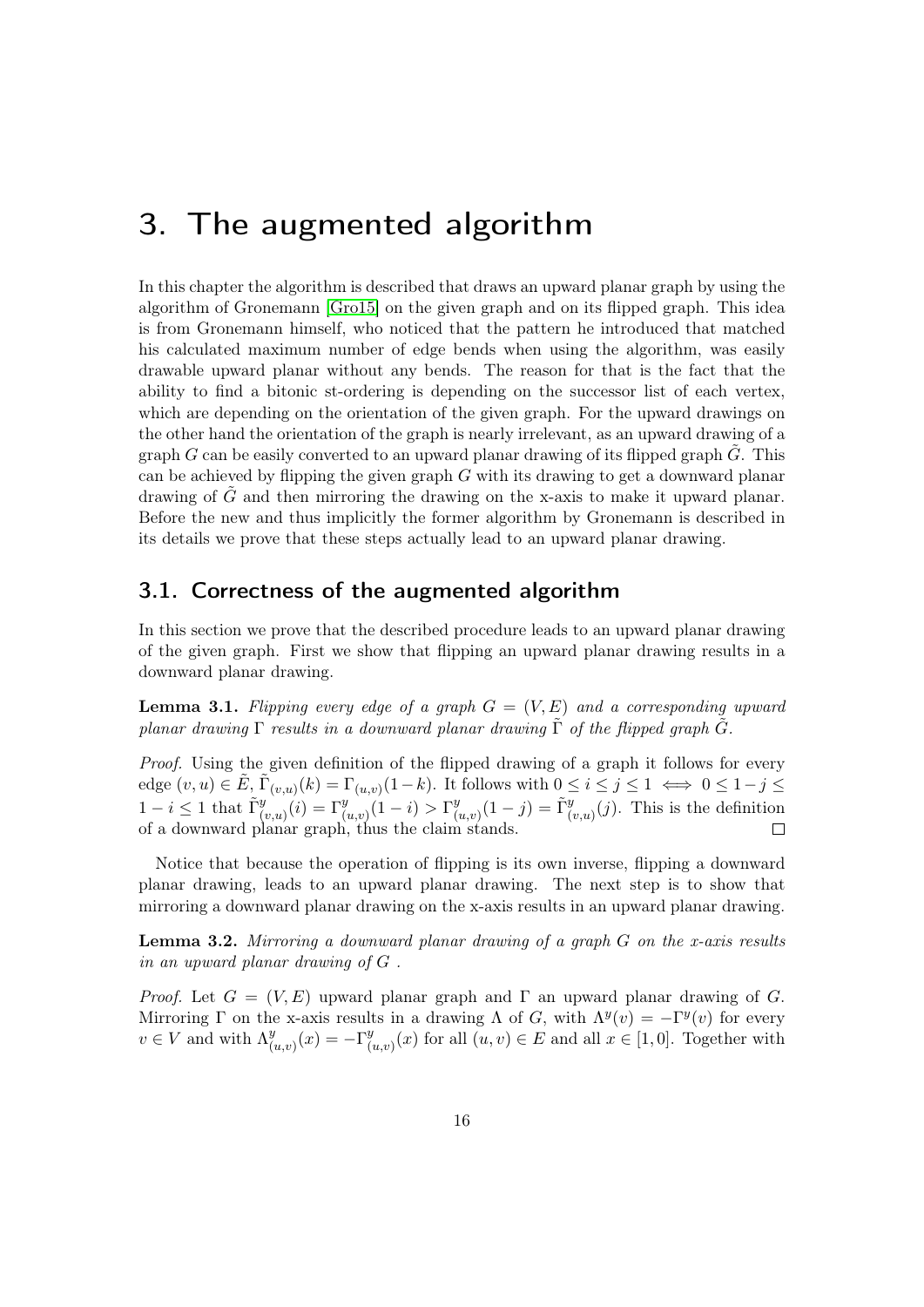### <span id="page-15-0"></span>3. The augmented algorithm

In this chapter the algorithm is described that draws an upward planar graph by using the algorithm of Gronemann [\[Gro15\]](#page-30-8) on the given graph and on its flipped graph. This idea is from Gronemann himself, who noticed that the pattern he introduced that matched his calculated maximum number of edge bends when using the algorithm, was easily drawable upward planar without any bends. The reason for that is the fact that the ability to find a bitonic st-ordering is depending on the successor list of each vertex, which are depending on the orientation of the given graph. For the upward drawings on the other hand the orientation of the graph is nearly irrelevant, as an upward drawing of a graph  $G$  can be easily converted to an upward planar drawing of its flipped graph  $G$ . This can be achieved by flipping the given graph  $G$  with its drawing to get a downward planar drawing of  $\tilde{G}$  and then mirroring the drawing on the x-axis to make it upward planar. Before the new and thus implicitly the former algorithm by Gronemann is described in its details we prove that these steps actually lead to an upward planar drawing.

#### <span id="page-15-1"></span>3.1. Correctness of the augmented algorithm

In this section we prove that the described procedure leads to an upward planar drawing of the given graph. First we show that flipping an upward planar drawing results in a downward planar drawing.

**Lemma 3.1.** Flipping every edge of a graph  $G = (V, E)$  and a corresponding upward planar drawing Γ results in a downward planar drawing Γ of the flipped graph G.

Proof. Using the given definition of the flipped drawing of a graph it follows for every edge  $(v, u) \in \tilde{E}, \tilde{\Gamma}_{(v, u)}(k) = \Gamma_{(u, v)}(1 - k)$ . It follows with  $0 \le i \le j \le 1 \iff 0 \le 1 - j \le k$  $1 - i \leq 1$  that  $\tilde{\Gamma}_{(v,u)}^y(i) = \Gamma_{(u,v)}^y(1-i) > \Gamma_{(u,v)}^y$  $(u_{(u,v)}^y(1-j) = \tilde{\Gamma}_{(v,u)}^y(j)$ . This is the definition of a downward planar graph, thus the claim stands.  $\Box$ 

Notice that because the operation of flipping is its own inverse, flipping a downward planar drawing, leads to an upward planar drawing. The next step is to show that mirroring a downward planar drawing on the x-axis results in an upward planar drawing.

**Lemma 3.2.** Mirroring a downward planar drawing of a graph  $G$  on the x-axis results in an upward planar drawing of G .

*Proof.* Let  $G = (V, E)$  upward planar graph and Γ an upward planar drawing of G. Mirroring  $\Gamma$  on the x-axis results in a drawing  $\Lambda$  of G, with  $\Lambda^y(v) = -\Gamma^y(v)$  for every  $v \in V$  and with  $\Lambda^y$  $\int_{(u,v)}^y(x) = -\Gamma^y_{(0)}$  $(u_{(u,v)}(x))$  for all  $(u, v) \in E$  and all  $x \in [1, 0]$ . Together with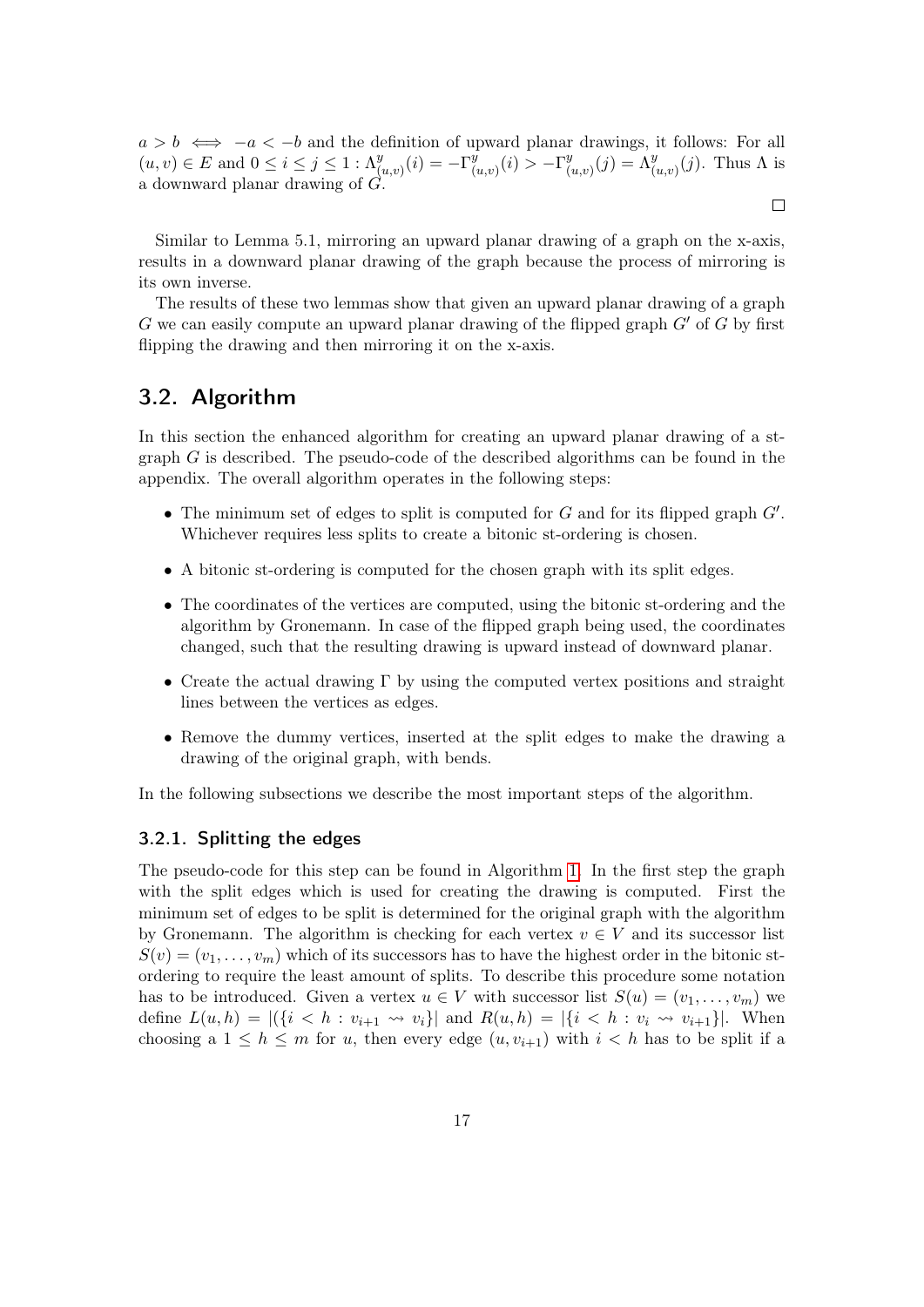$a > b \iff -a < -b$  and the definition of upward planar drawings, it follows: For all  $(u, v) \in E$  and  $0 \le i \le j \le 1 : \Lambda^y_{(u,v)}(i) = -\Gamma^y_{(i)}$  $\frac{\overline{y}}{(u,v)}(i) > -\Gamma^y_{(i)}$  $u_{(u,v)}^y(j) = \Lambda_{(u,v)}^y(j)$ . Thus  $\Lambda$  is a downward planar drawing of G.

 $\Box$ 

Similar to Lemma 5.1, mirroring an upward planar drawing of a graph on the x-axis, results in a downward planar drawing of the graph because the process of mirroring is its own inverse.

The results of these two lemmas show that given an upward planar drawing of a graph G we can easily compute an upward planar drawing of the flipped graph  $G'$  of G by first flipping the drawing and then mirroring it on the x-axis.

#### <span id="page-16-0"></span>3.2. Algorithm

In this section the enhanced algorithm for creating an upward planar drawing of a stgraph  $G$  is described. The pseudo-code of the described algorithms can be found in the appendix. The overall algorithm operates in the following steps:

- The minimum set of edges to split is computed for  $G$  and for its flipped graph  $G'$ . Whichever requires less splits to create a bitonic st-ordering is chosen.
- A bitonic st-ordering is computed for the chosen graph with its split edges.
- The coordinates of the vertices are computed, using the bitonic st-ordering and the algorithm by Gronemann. In case of the flipped graph being used, the coordinates changed, such that the resulting drawing is upward instead of downward planar.
- Create the actual drawing  $\Gamma$  by using the computed vertex positions and straight lines between the vertices as edges.
- Remove the dummy vertices, inserted at the split edges to make the drawing a drawing of the original graph, with bends.

In the following subsections we describe the most important steps of the algorithm.

#### <span id="page-16-1"></span>3.2.1. Splitting the edges

The pseudo-code for this step can be found in Algorithm [1.](#page-32-1) In the first step the graph with the split edges which is used for creating the drawing is computed. First the minimum set of edges to be split is determined for the original graph with the algorithm by Gronemann. The algorithm is checking for each vertex  $v \in V$  and its successor list  $S(v) = (v_1, \ldots, v_m)$  which of its successors has to have the highest order in the bitonic stordering to require the least amount of splits. To describe this procedure some notation has to be introduced. Given a vertex  $u \in V$  with successor list  $S(u) = (v_1, \ldots, v_m)$  we define  $L(u, h) = |(\{i \le h : v_{i+1} \leadsto v_i\}| \text{ and } R(u, h) = |\{i \le h : v_i \leadsto v_{i+1}\}|.$  When choosing a  $1 \leq h \leq m$  for u, then every edge  $(u, v_{i+1})$  with  $i < h$  has to be split if a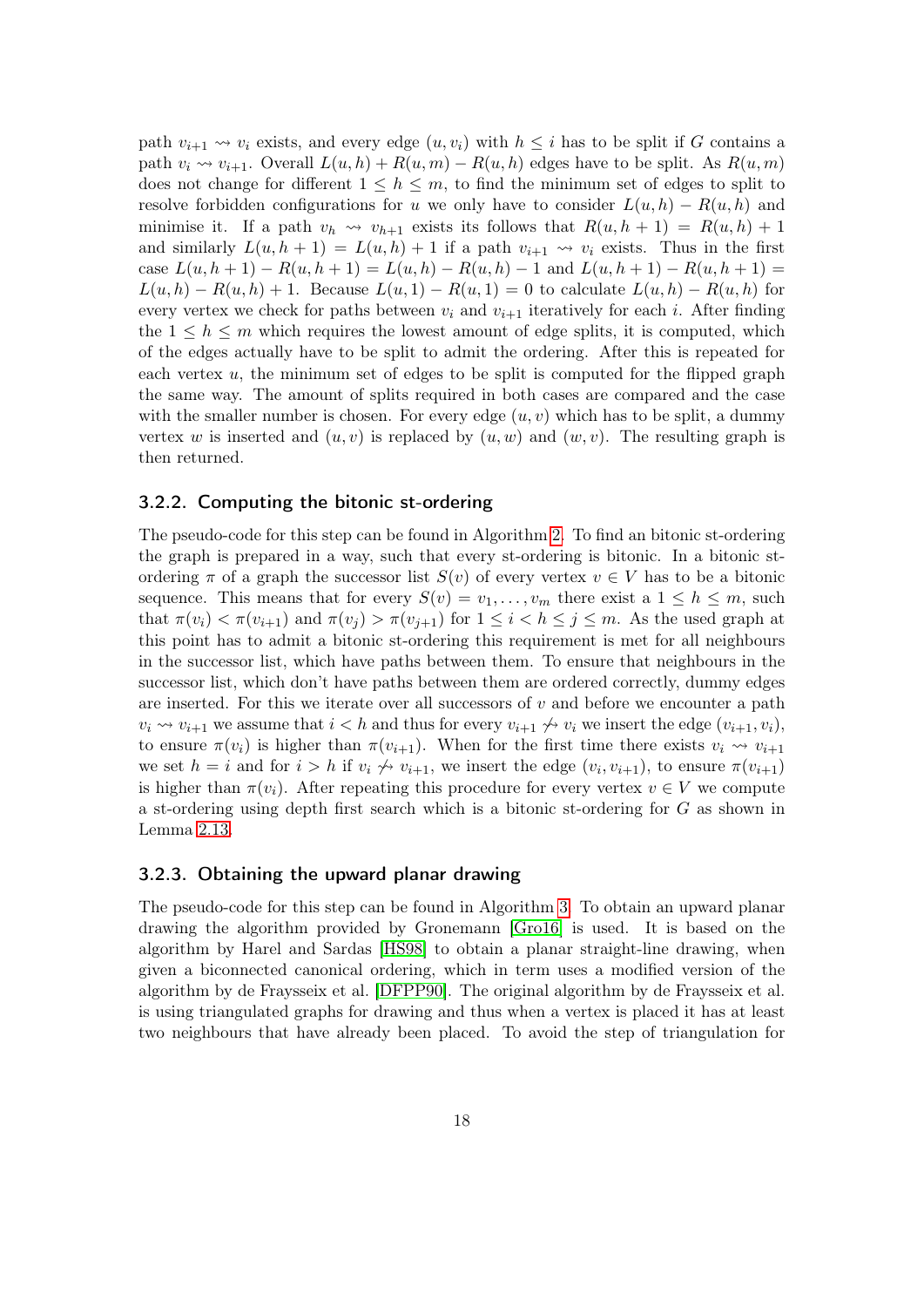path  $v_{i+1} \rightarrow v_i$  exists, and every edge  $(u, v_i)$  with  $h \leq i$  has to be split if G contains a path  $v_i \rightsquigarrow v_{i+1}$ . Overall  $L(u, h) + R(u, m) - R(u, h)$  edges have to be split. As  $R(u, m)$ does not change for different  $1 \leq h \leq m$ , to find the minimum set of edges to split to resolve forbidden configurations for u we only have to consider  $L(u, h) - R(u, h)$  and minimise it. If a path  $v_h \leadsto v_{h+1}$  exists its follows that  $R(u, h + 1) = R(u, h) + 1$ and similarly  $L(u, h + 1) = L(u, h) + 1$  if a path  $v_{i+1} \leadsto v_i$  exists. Thus in the first case  $L(u, h + 1) - R(u, h + 1) = L(u, h) - R(u, h) - 1$  and  $L(u, h + 1) - R(u, h + 1) =$  $L(u, h) - R(u, h) + 1$ . Because  $L(u, 1) - R(u, 1) = 0$  to calculate  $L(u, h) - R(u, h)$  for every vertex we check for paths between  $v_i$  and  $v_{i+1}$  iteratively for each i. After finding the  $1 \leq h \leq m$  which requires the lowest amount of edge splits, it is computed, which of the edges actually have to be split to admit the ordering. After this is repeated for each vertex u, the minimum set of edges to be split is computed for the flipped graph the same way. The amount of splits required in both cases are compared and the case with the smaller number is chosen. For every edge  $(u, v)$  which has to be split, a dummy vertex w is inserted and  $(u, v)$  is replaced by  $(u, w)$  and  $(w, v)$ . The resulting graph is then returned.

#### <span id="page-17-0"></span>3.2.2. Computing the bitonic st-ordering

The pseudo-code for this step can be found in Algorithm [2.](#page-33-0) To find an bitonic st-ordering the graph is prepared in a way, such that every st-ordering is bitonic. In a bitonic stordering  $\pi$  of a graph the successor list  $S(v)$  of every vertex  $v \in V$  has to be a bitonic sequence. This means that for every  $S(v) = v_1, \ldots, v_m$  there exist a  $1 \leq h \leq m$ , such that  $\pi(v_i) < \pi(v_{i+1})$  and  $\pi(v_j) > \pi(v_{j+1})$  for  $1 \leq i < h \leq j \leq m$ . As the used graph at this point has to admit a bitonic st-ordering this requirement is met for all neighbours in the successor list, which have paths between them. To ensure that neighbours in the successor list, which don't have paths between them are ordered correctly, dummy edges are inserted. For this we iterate over all successors of  $v$  and before we encounter a path  $v_i \rightsquigarrow v_{i+1}$  we assume that  $i < h$  and thus for every  $v_{i+1} \nleftrightarrow v_i$  we insert the edge  $(v_{i+1}, v_i)$ , to ensure  $\pi(v_i)$  is higher than  $\pi(v_{i+1})$ . When for the first time there exists  $v_i \rightsquigarrow v_{i+1}$ we set  $h = i$  and for  $i > h$  if  $v_i \nleftrightarrow v_{i+1}$ , we insert the edge  $(v_i, v_{i+1})$ , to ensure  $\pi(v_{i+1})$ is higher than  $\pi(v_i)$ . After repeating this procedure for every vertex  $v \in V$  we compute a st-ordering using depth first search which is a bitonic st-ordering for G as shown in Lemma [2.13.](#page-12-0)

#### <span id="page-17-1"></span>3.2.3. Obtaining the upward planar drawing

The pseudo-code for this step can be found in Algorithm [3.](#page-34-0) To obtain an upward planar drawing the algorithm provided by Gronemann [\[Gro16\]](#page-30-9) is used. It is based on the algorithm by Harel and Sardas [\[HS98\]](#page-30-3) to obtain a planar straight-line drawing, when given a biconnected canonical ordering, which in term uses a modified version of the algorithm by de Fraysseix et al. [\[DFPP90\]](#page-30-1). The original algorithm by de Fraysseix et al. is using triangulated graphs for drawing and thus when a vertex is placed it has at least two neighbours that have already been placed. To avoid the step of triangulation for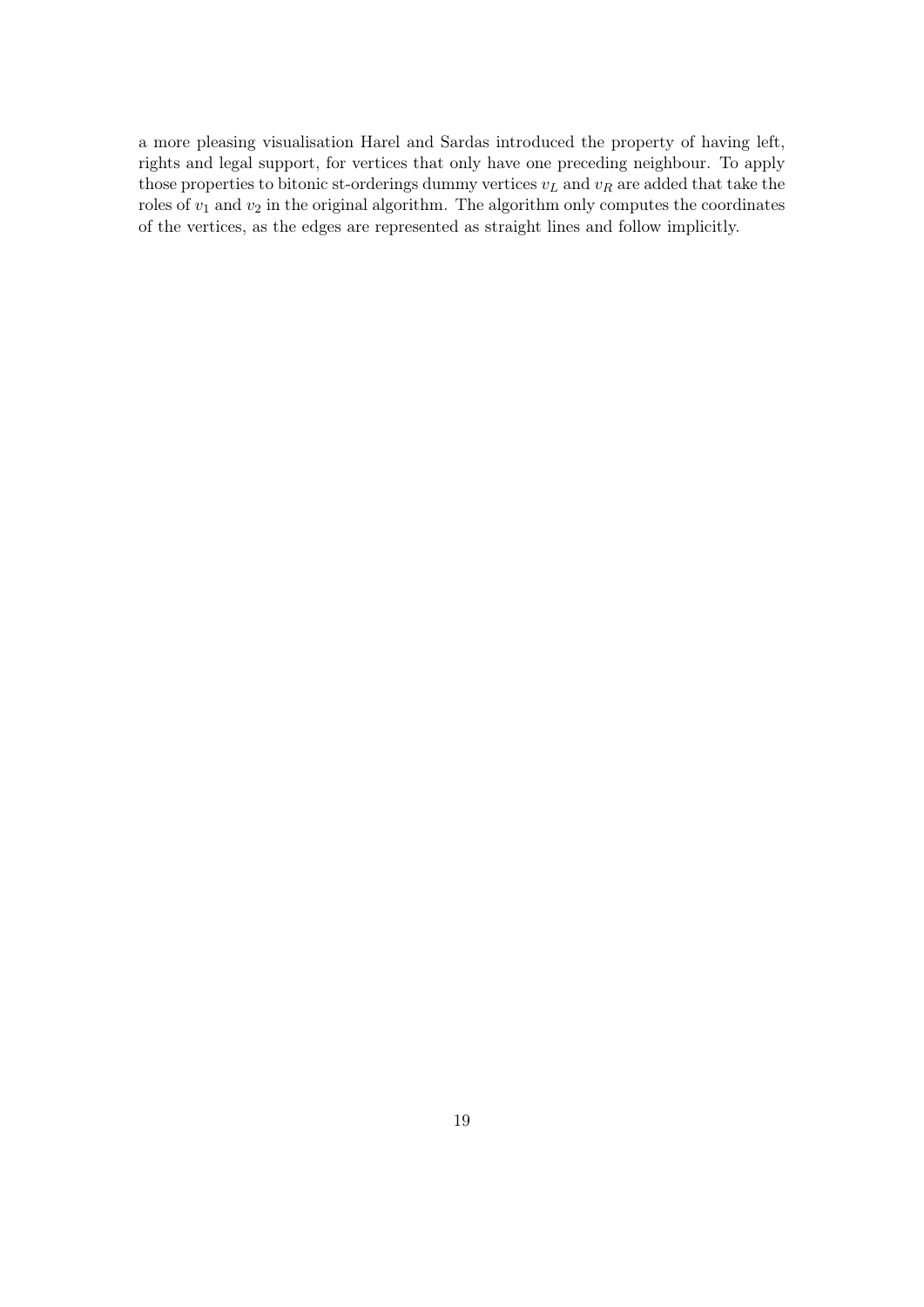a more pleasing visualisation Harel and Sardas introduced the property of having left, rights and legal support, for vertices that only have one preceding neighbour. To apply those properties to bitonic st-orderings dummy vertices  $v<sub>L</sub>$  and  $v<sub>R</sub>$  are added that take the roles of  $v_1$  and  $v_2$  in the original algorithm. The algorithm only computes the coordinates of the vertices, as the edges are represented as straight lines and follow implicitly.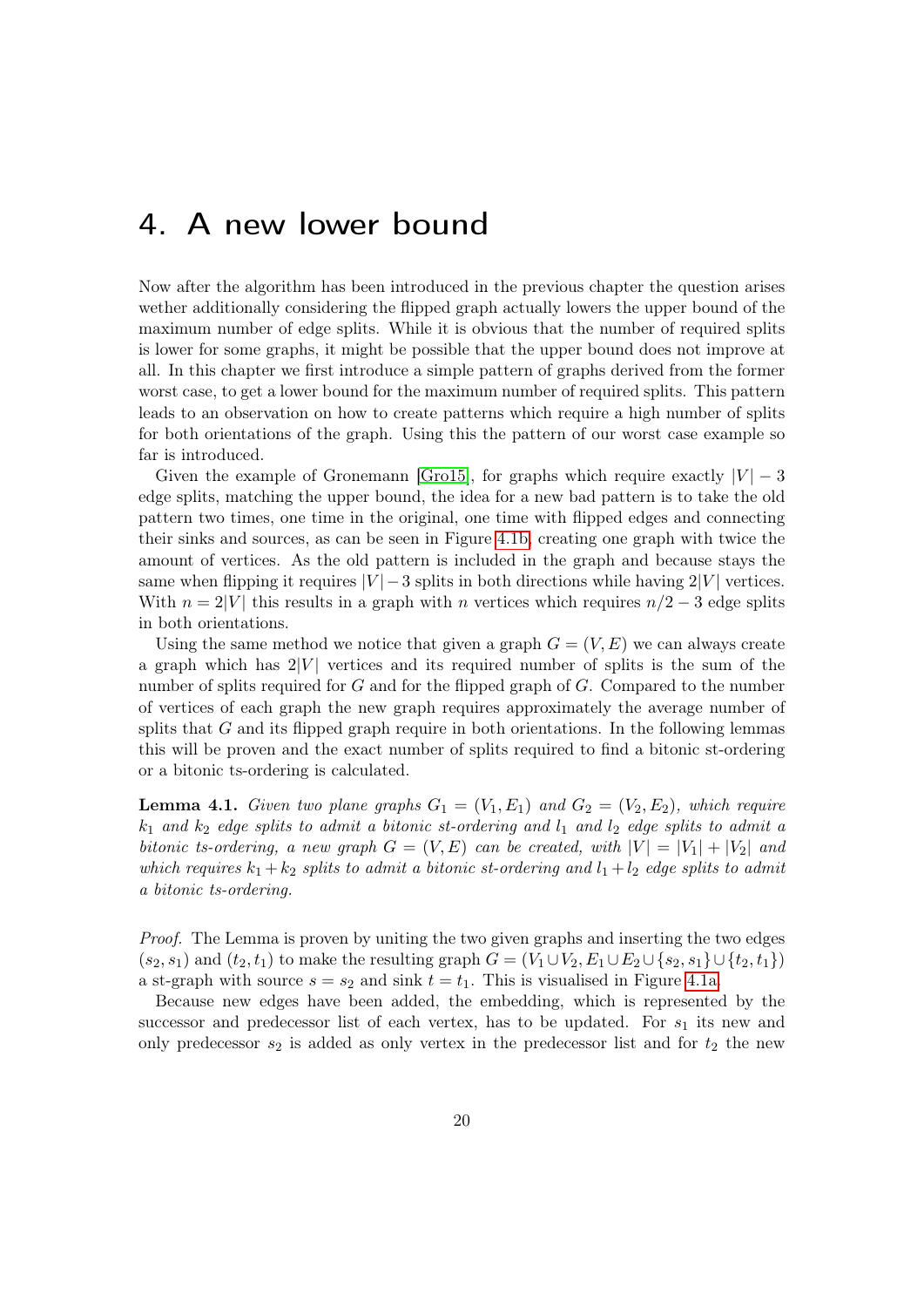### <span id="page-19-0"></span>4. A new lower bound

Now after the algorithm has been introduced in the previous chapter the question arises wether additionally considering the flipped graph actually lowers the upper bound of the maximum number of edge splits. While it is obvious that the number of required splits is lower for some graphs, it might be possible that the upper bound does not improve at all. In this chapter we first introduce a simple pattern of graphs derived from the former worst case, to get a lower bound for the maximum number of required splits. This pattern leads to an observation on how to create patterns which require a high number of splits for both orientations of the graph. Using this the pattern of our worst case example so far is introduced.

Given the example of Gronemann [\[Gro15\]](#page-30-8), for graphs which require exactly  $|V| - 3$ edge splits, matching the upper bound, the idea for a new bad pattern is to take the old pattern two times, one time in the original, one time with flipped edges and connecting their sinks and sources, as can be seen in Figure [4.1b,](#page-20-0) creating one graph with twice the amount of vertices. As the old pattern is included in the graph and because stays the same when flipping it requires  $|V| - 3$  splits in both directions while having  $2|V|$  vertices. With  $n = 2|V|$  this results in a graph with n vertices which requires  $n/2 - 3$  edge splits in both orientations.

Using the same method we notice that given a graph  $G = (V, E)$  we can always create a graph which has  $2|V|$  vertices and its required number of splits is the sum of the number of splits required for  $G$  and for the flipped graph of  $G$ . Compared to the number of vertices of each graph the new graph requires approximately the average number of splits that  $G$  and its flipped graph require in both orientations. In the following lemmas this will be proven and the exact number of splits required to find a bitonic st-ordering or a bitonic ts-ordering is calculated.

<span id="page-19-1"></span>**Lemma 4.1.** Given two plane graphs  $G_1 = (V_1, E_1)$  and  $G_2 = (V_2, E_2)$ , which require  $k_1$  and  $k_2$  edge splits to admit a bitonic st-ordering and  $l_1$  and  $l_2$  edge splits to admit a bitonic ts-ordering, a new graph  $G = (V, E)$  can be created, with  $|V| = |V_1| + |V_2|$  and which requires  $k_1 + k_2$  splits to admit a bitonic st-ordering and  $l_1 + l_2$  edge splits to admit a bitonic ts-ordering.

Proof. The Lemma is proven by uniting the two given graphs and inserting the two edges  $(s_2, s_1)$  and  $(t_2, t_1)$  to make the resulting graph  $G = (V_1 \cup V_2, E_1 \cup E_2 \cup \{s_2, s_1\} \cup \{t_2, t_1\})$ a st-graph with source  $s = s_2$  and sink  $t = t_1$ . This is visualised in Figure [4.1a.](#page-20-0)

Because new edges have been added, the embedding, which is represented by the successor and predecessor list of each vertex, has to be updated. For  $s_1$  its new and only predecessor  $s_2$  is added as only vertex in the predecessor list and for  $t_2$  the new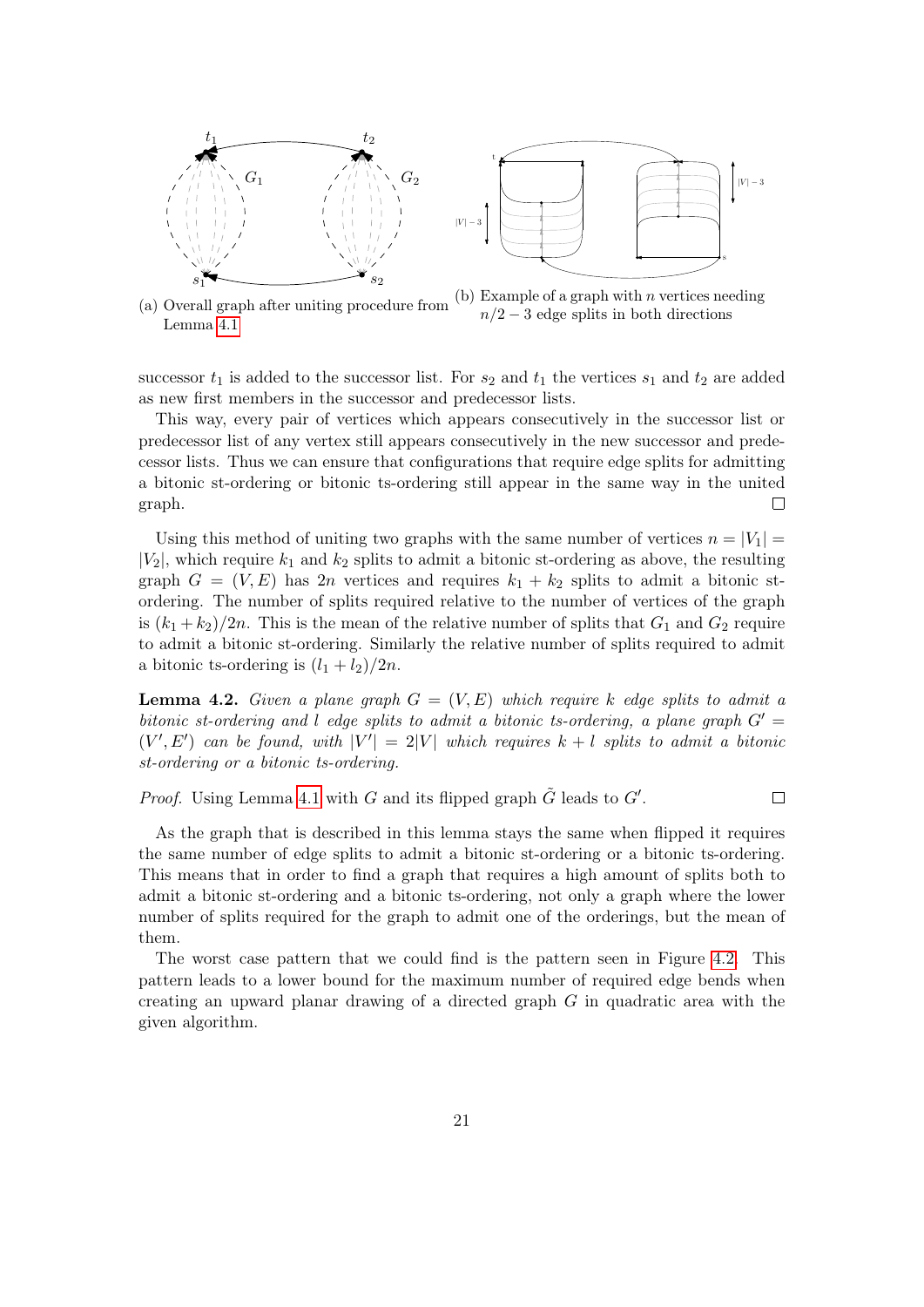<span id="page-20-0"></span>

(a) Overall graph after uniting procedure from Lemma [4.1](#page-19-1) (b) Example of a graph with  $n$  vertices needing  $n/2 - 3$  edge splits in both directions

s

 $|V| - 3$ 

successor  $t_1$  is added to the successor list. For  $s_2$  and  $t_1$  the vertices  $s_1$  and  $t_2$  are added as new first members in the successor and predecessor lists.

This way, every pair of vertices which appears consecutively in the successor list or predecessor list of any vertex still appears consecutively in the new successor and predecessor lists. Thus we can ensure that configurations that require edge splits for admitting a bitonic st-ordering or bitonic ts-ordering still appear in the same way in the united graph.  $\Box$ 

Using this method of uniting two graphs with the same number of vertices  $n = |V_1|$  $|V_2|$ , which require  $k_1$  and  $k_2$  splits to admit a bitonic st-ordering as above, the resulting graph  $G = (V, E)$  has 2n vertices and requires  $k_1 + k_2$  splits to admit a bitonic stordering. The number of splits required relative to the number of vertices of the graph is  $(k_1 + k_2)/2n$ . This is the mean of the relative number of splits that  $G_1$  and  $G_2$  require to admit a bitonic st-ordering. Similarly the relative number of splits required to admit a bitonic ts-ordering is  $(l_1 + l_2)/2n$ .

**Lemma 4.2.** Given a plane graph  $G = (V, E)$  which require k edge splits to admit a bitonic st-ordering and l edge splits to admit a bitonic ts-ordering, a plane graph  $G' =$  $(V', E')$  can be found, with  $|V'| = 2|V|$  which requires  $k + l$  splits to admit a bitonic st-ordering or a bitonic ts-ordering.

*Proof.* Using Lemma [4.1](#page-19-1) with G and its flipped graph  $\tilde{G}$  leads to  $G'$ .  $\Box$ 

As the graph that is described in this lemma stays the same when flipped it requires the same number of edge splits to admit a bitonic st-ordering or a bitonic ts-ordering. This means that in order to find a graph that requires a high amount of splits both to admit a bitonic st-ordering and a bitonic ts-ordering, not only a graph where the lower number of splits required for the graph to admit one of the orderings, but the mean of them.

The worst case pattern that we could find is the pattern seen in Figure [4.2.](#page-21-0) This pattern leads to a lower bound for the maximum number of required edge bends when creating an upward planar drawing of a directed graph G in quadratic area with the given algorithm.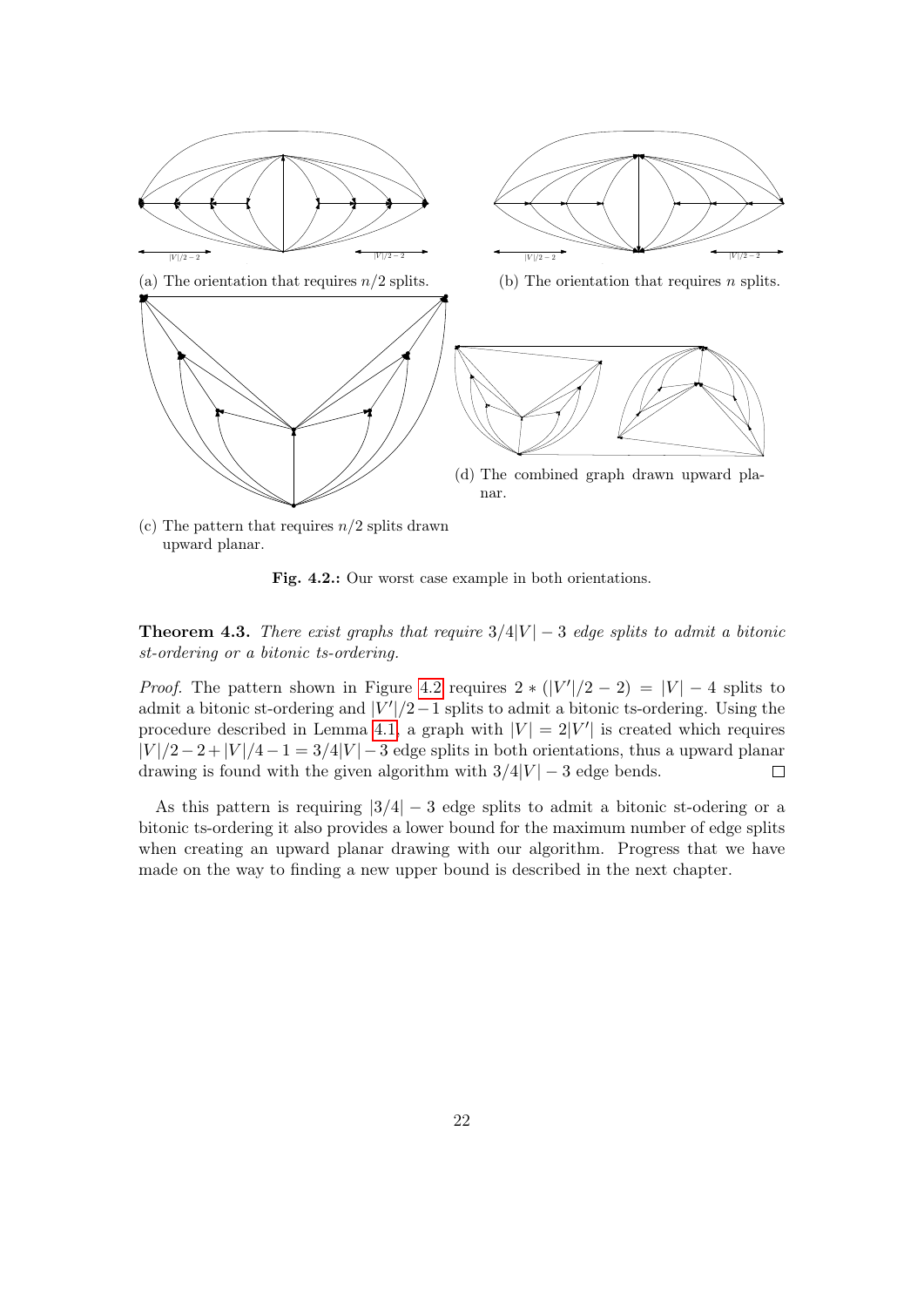<span id="page-21-0"></span>

(c) The pattern that requires  $n/2$  splits drawn upward planar.

Fig. 4.2.: Our worst case example in both orientations.

<span id="page-21-1"></span>**Theorem 4.3.** There exist graphs that require  $3/4|V| - 3$  edge splits to admit a bitonic st-ordering or a bitonic ts-ordering.

*Proof.* The pattern shown in Figure [4.2](#page-21-0) requires  $2 * (|V'|/2 - 2) = |V| - 4$  splits to admit a bitonic st-ordering and  $|V'|/2-1$  splits to admit a bitonic ts-ordering. Using the procedure described in Lemma [4.1,](#page-19-1) a graph with  $|V| = 2|V'|$  is created which requires  $|V|/2-2+|V|/4-1=3/4|V|-3$  edge splits in both orientations, thus a upward planar drawing is found with the given algorithm with  $3/4|V| - 3$  edge bends.  $\Box$ 

As this pattern is requiring  $|3/4| - 3$  edge splits to admit a bitonic st-odering or a bitonic ts-ordering it also provides a lower bound for the maximum number of edge splits when creating an upward planar drawing with our algorithm. Progress that we have made on the way to finding a new upper bound is described in the next chapter.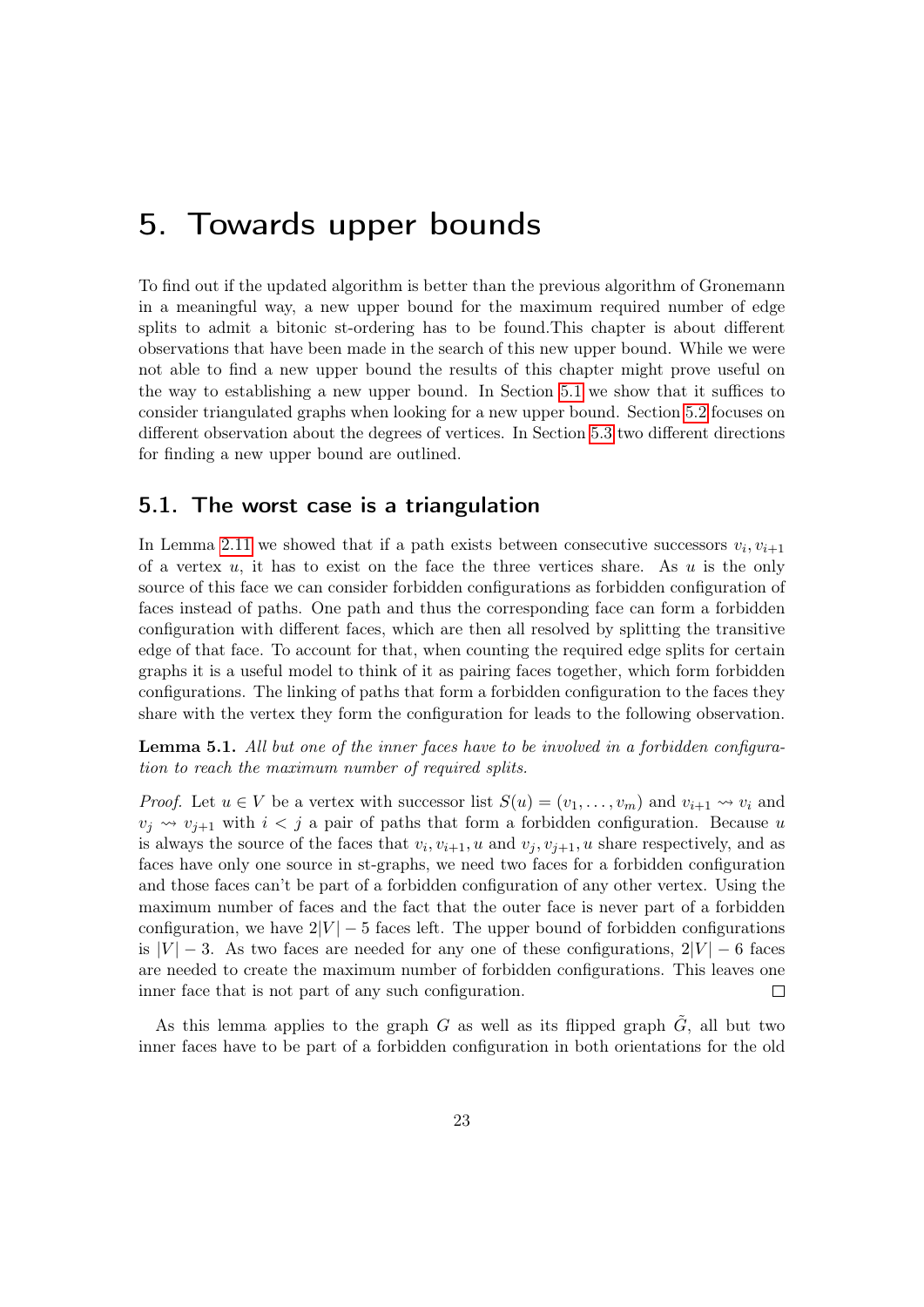### <span id="page-22-0"></span>5. Towards upper bounds

To find out if the updated algorithm is better than the previous algorithm of Gronemann in a meaningful way, a new upper bound for the maximum required number of edge splits to admit a bitonic st-ordering has to be found.This chapter is about different observations that have been made in the search of this new upper bound. While we were not able to find a new upper bound the results of this chapter might prove useful on the way to establishing a new upper bound. In Section [5.1](#page-22-1) we show that it suffices to consider triangulated graphs when looking for a new upper bound. Section [5.2](#page-23-0) focuses on different observation about the degrees of vertices. In Section [5.3](#page-25-0) two different directions for finding a new upper bound are outlined.

#### <span id="page-22-1"></span>5.1. The worst case is a triangulation

In Lemma [2.11](#page-10-1) we showed that if a path exists between consecutive successors  $v_i, v_{i+1}$ of a vertex  $u$ , it has to exist on the face the three vertices share. As  $u$  is the only source of this face we can consider forbidden configurations as forbidden configuration of faces instead of paths. One path and thus the corresponding face can form a forbidden configuration with different faces, which are then all resolved by splitting the transitive edge of that face. To account for that, when counting the required edge splits for certain graphs it is a useful model to think of it as pairing faces together, which form forbidden configurations. The linking of paths that form a forbidden configuration to the faces they share with the vertex they form the configuration for leads to the following observation.

**Lemma 5.1.** All but one of the inner faces have to be involved in a forbidden configuration to reach the maximum number of required splits.

*Proof.* Let  $u \in V$  be a vertex with successor list  $S(u) = (v_1, \ldots, v_m)$  and  $v_{i+1} \leadsto v_i$  and  $v_j \leftrightarrow v_{j+1}$  with  $i < j$  a pair of paths that form a forbidden configuration. Because u is always the source of the faces that  $v_i, v_{i+1}, u$  and  $v_j, v_{j+1}, u$  share respectively, and as faces have only one source in st-graphs, we need two faces for a forbidden configuration and those faces can't be part of a forbidden configuration of any other vertex. Using the maximum number of faces and the fact that the outer face is never part of a forbidden configuration, we have  $2|V| - 5$  faces left. The upper bound of forbidden configurations is  $|V| - 3$ . As two faces are needed for any one of these configurations,  $2|V| - 6$  faces are needed to create the maximum number of forbidden configurations. This leaves one inner face that is not part of any such configuration.  $\Box$ 

As this lemma applies to the graph G as well as its flipped graph  $\tilde{G}$ , all but two inner faces have to be part of a forbidden configuration in both orientations for the old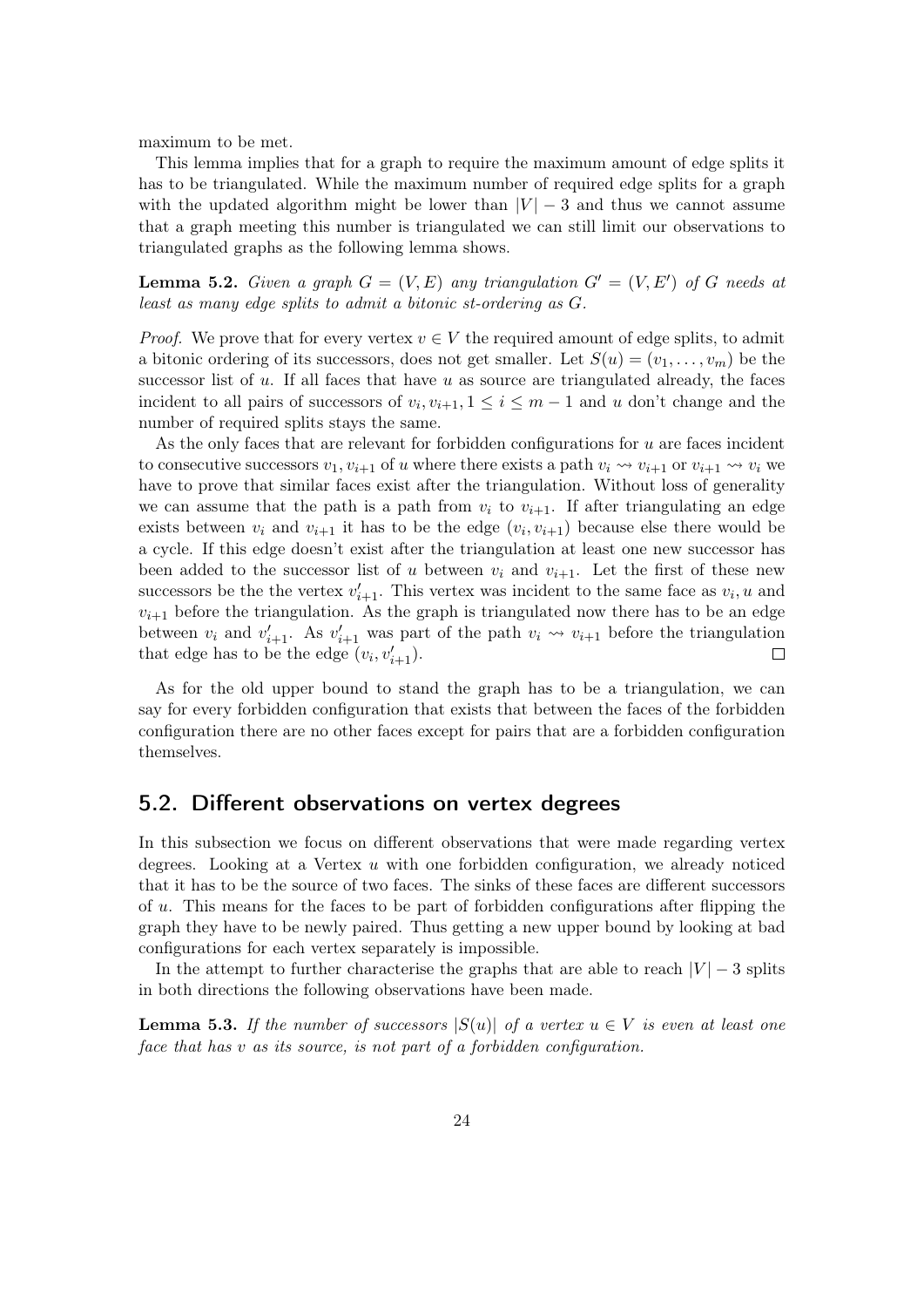maximum to be met.

This lemma implies that for a graph to require the maximum amount of edge splits it has to be triangulated. While the maximum number of required edge splits for a graph with the updated algorithm might be lower than  $|V| - 3$  and thus we cannot assume that a graph meeting this number is triangulated we can still limit our observations to triangulated graphs as the following lemma shows.

**Lemma 5.2.** Given a graph  $G = (V, E)$  any triangulation  $G' = (V, E')$  of G needs at least as many edge splits to admit a bitonic st-ordering as G.

*Proof.* We prove that for every vertex  $v \in V$  the required amount of edge splits, to admit a bitonic ordering of its successors, does not get smaller. Let  $S(u) = (v_1, \ldots, v_m)$  be the successor list of  $u$ . If all faces that have  $u$  as source are triangulated already, the faces incident to all pairs of successors of  $v_i, v_{i+1}, 1 \leq i \leq m-1$  and u don't change and the number of required splits stays the same.

As the only faces that are relevant for forbidden configurations for  $u$  are faces incident to consecutive successors  $v_1, v_{i+1}$  of u where there exists a path  $v_i \leadsto v_{i+1}$  or  $v_{i+1} \leadsto v_i$  we have to prove that similar faces exist after the triangulation. Without loss of generality we can assume that the path is a path from  $v_i$  to  $v_{i+1}$ . If after triangulating an edge exists between  $v_i$  and  $v_{i+1}$  it has to be the edge  $(v_i, v_{i+1})$  because else there would be a cycle. If this edge doesn't exist after the triangulation at least one new successor has been added to the successor list of u between  $v_i$  and  $v_{i+1}$ . Let the first of these new successors be the the vertex  $v'_{i+1}$ . This vertex was incident to the same face as  $v_i, u$  and  $v_{i+1}$  before the triangulation. As the graph is triangulated now there has to be an edge between  $v_i$  and  $v'_{i+1}$ . As  $v'_{i+1}$  was part of the path  $v_i \leadsto v_{i+1}$  before the triangulation that edge has to be the edge  $(v_i, v'_{i+1})$ .  $\Box$ 

As for the old upper bound to stand the graph has to be a triangulation, we can say for every forbidden configuration that exists that between the faces of the forbidden configuration there are no other faces except for pairs that are a forbidden configuration themselves.

#### <span id="page-23-0"></span>5.2. Different observations on vertex degrees

In this subsection we focus on different observations that were made regarding vertex degrees. Looking at a Vertex  $u$  with one forbidden configuration, we already noticed that it has to be the source of two faces. The sinks of these faces are different successors of  $u$ . This means for the faces to be part of forbidden configurations after flipping the graph they have to be newly paired. Thus getting a new upper bound by looking at bad configurations for each vertex separately is impossible.

In the attempt to further characterise the graphs that are able to reach  $|V| - 3$  splits in both directions the following observations have been made.

<span id="page-23-1"></span>**Lemma 5.3.** If the number of successors  $|S(u)|$  of a vertex  $u \in V$  is even at least one face that has v as its source, is not part of a forbidden configuration.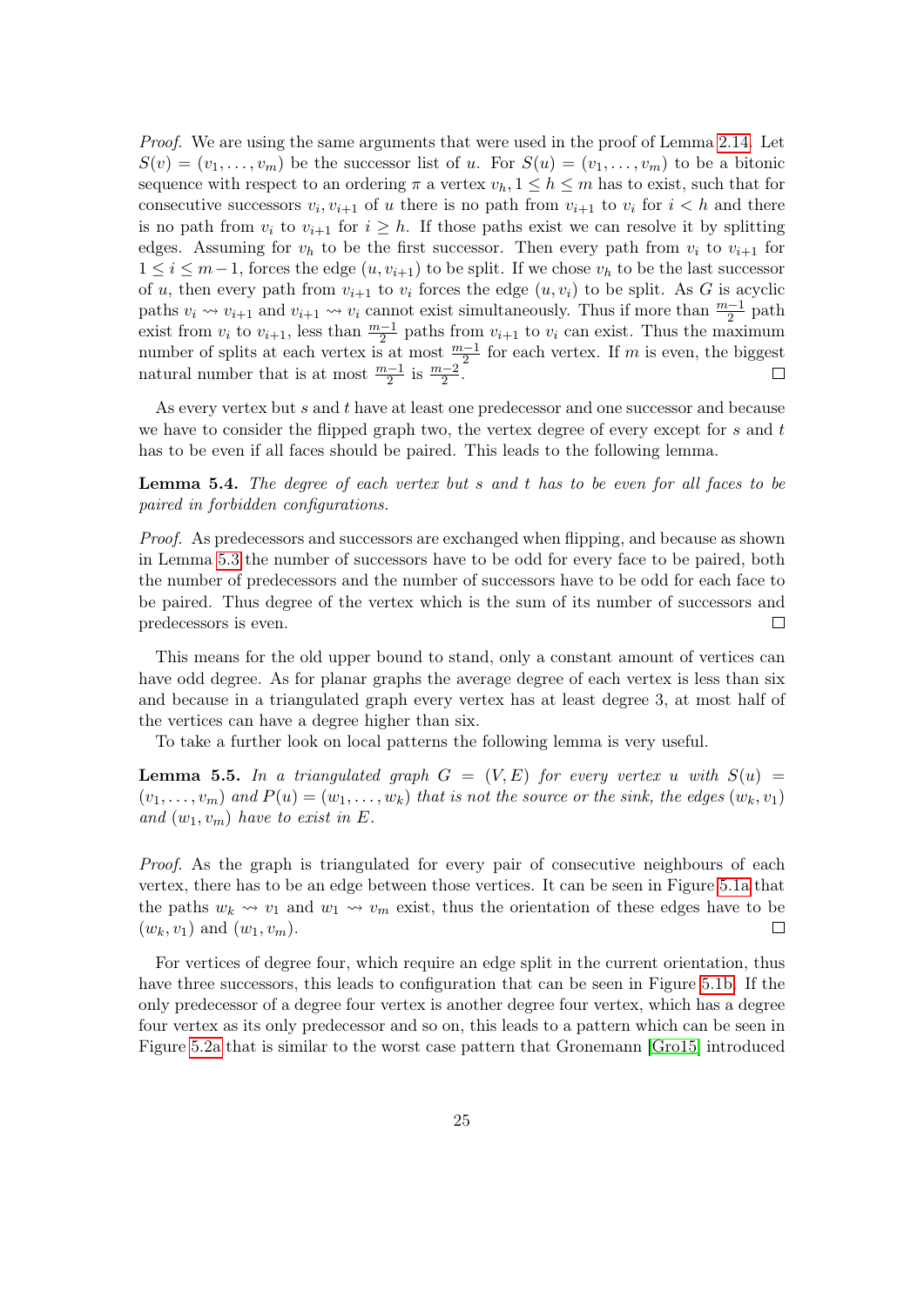Proof. We are using the same arguments that were used in the proof of Lemma [2.14.](#page-13-0) Let  $S(v) = (v_1, \ldots, v_m)$  be the successor list of u. For  $S(u) = (v_1, \ldots, v_m)$  to be a bitonic sequence with respect to an ordering  $\pi$  a vertex  $v_h$ ,  $1 \leq h \leq m$  has to exist, such that for consecutive successors  $v_i, v_{i+1}$  of u there is no path from  $v_{i+1}$  to  $v_i$  for  $i < h$  and there is no path from  $v_i$  to  $v_{i+1}$  for  $i \geq h$ . If those paths exist we can resolve it by splitting edges. Assuming for  $v_h$  to be the first successor. Then every path from  $v_i$  to  $v_{i+1}$  for  $1 \leq i \leq m-1$ , forces the edge  $(u, v_{i+1})$  to be split. If we chose  $v_h$  to be the last successor of u, then every path from  $v_{i+1}$  to  $v_i$  forces the edge  $(u, v_i)$  to be split. As G is acyclic paths  $v_i \leadsto v_{i+1}$  and  $v_{i+1} \leadsto v_i$  cannot exist simultaneously. Thus if more than  $\frac{m-1}{2}$  path exist from  $v_i$  to  $v_{i+1}$ , less than  $\frac{m-1}{2}$  paths from  $v_{i+1}$  to  $v_i$  can exist. Thus the maximum number of splits at each vertex is at most  $\frac{m-1}{2}$  for each vertex. If m is even, the biggest natural number that is at most  $\frac{m-1}{2}$  is  $\frac{m-2}{2}$ .  $\Box$ 

As every vertex but s and t have at least one predecessor and one successor and because we have to consider the flipped graph two, the vertex degree of every except for s and t has to be even if all faces should be paired. This leads to the following lemma.

Lemma 5.4. The degree of each vertex but s and t has to be even for all faces to be paired in forbidden configurations.

Proof. As predecessors and successors are exchanged when flipping, and because as shown in Lemma [5.3](#page-23-1) the number of successors have to be odd for every face to be paired, both the number of predecessors and the number of successors have to be odd for each face to be paired. Thus degree of the vertex which is the sum of its number of successors and predecessors is even.  $\Box$ 

This means for the old upper bound to stand, only a constant amount of vertices can have odd degree. As for planar graphs the average degree of each vertex is less than six and because in a triangulated graph every vertex has at least degree 3, at most half of the vertices can have a degree higher than six.

To take a further look on local patterns the following lemma is very useful.

<span id="page-24-0"></span>**Lemma 5.5.** In a triangulated graph  $G = (V, E)$  for every vertex u with  $S(u)$  $(v_1, \ldots, v_m)$  and  $P(u) = (w_1, \ldots, w_k)$  that is not the source or the sink, the edges  $(w_k, v_1)$ and  $(w_1, v_m)$  have to exist in E.

Proof. As the graph is triangulated for every pair of consecutive neighbours of each vertex, there has to be an edge between those vertices. It can be seen in Figure [5.1a](#page-25-1) that the paths  $w_k \leadsto v_1$  and  $w_1 \leadsto v_m$  exist, thus the orientation of these edges have to be  $(w_k, v_1)$  and  $(w_1, v_m)$ .  $\Box$ 

For vertices of degree four, which require an edge split in the current orientation, thus have three successors, this leads to configuration that can be seen in Figure [5.1b.](#page-25-1) If the only predecessor of a degree four vertex is another degree four vertex, which has a degree four vertex as its only predecessor and so on, this leads to a pattern which can be seen in Figure [5.2a](#page-26-0) that is similar to the worst case pattern that Gronemann [\[Gro15\]](#page-30-8) introduced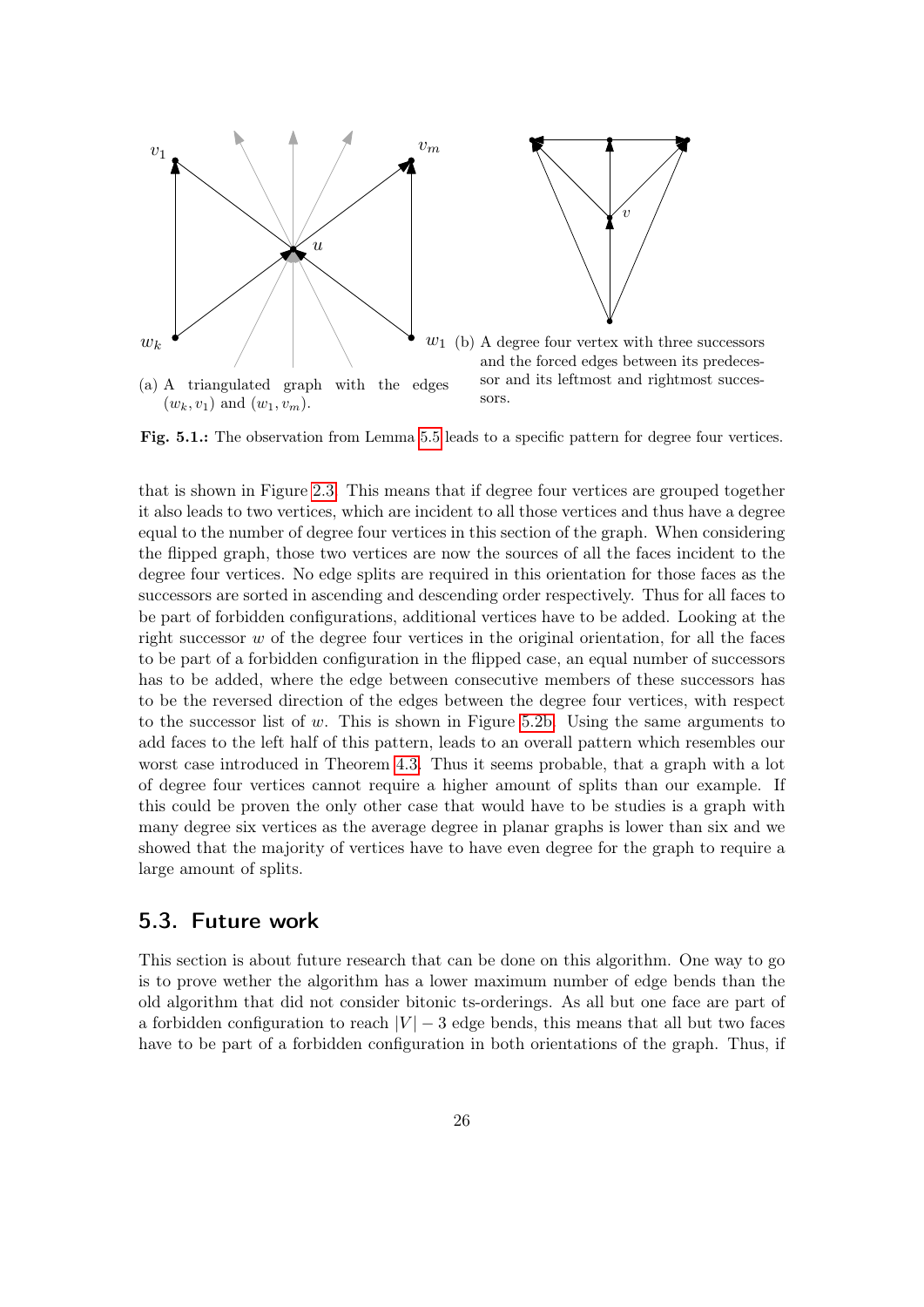<span id="page-25-1"></span>

Fig. 5.1.: The observation from Lemma [5.5](#page-24-0) leads to a specific pattern for degree four vertices.

that is shown in Figure [2.3.](#page-14-0) This means that if degree four vertices are grouped together it also leads to two vertices, which are incident to all those vertices and thus have a degree equal to the number of degree four vertices in this section of the graph. When considering the flipped graph, those two vertices are now the sources of all the faces incident to the degree four vertices. No edge splits are required in this orientation for those faces as the successors are sorted in ascending and descending order respectively. Thus for all faces to be part of forbidden configurations, additional vertices have to be added. Looking at the right successor  $w$  of the degree four vertices in the original orientation, for all the faces to be part of a forbidden configuration in the flipped case, an equal number of successors has to be added, where the edge between consecutive members of these successors has to be the reversed direction of the edges between the degree four vertices, with respect to the successor list of  $w$ . This is shown in Figure [5.2b.](#page-26-0) Using the same arguments to add faces to the left half of this pattern, leads to an overall pattern which resembles our worst case introduced in Theorem [4.3.](#page-21-1) Thus it seems probable, that a graph with a lot of degree four vertices cannot require a higher amount of splits than our example. If this could be proven the only other case that would have to be studies is a graph with many degree six vertices as the average degree in planar graphs is lower than six and we showed that the majority of vertices have to have even degree for the graph to require a large amount of splits.

#### <span id="page-25-0"></span>5.3. Future work

This section is about future research that can be done on this algorithm. One way to go is to prove wether the algorithm has a lower maximum number of edge bends than the old algorithm that did not consider bitonic ts-orderings. As all but one face are part of a forbidden configuration to reach  $|V| - 3$  edge bends, this means that all but two faces have to be part of a forbidden configuration in both orientations of the graph. Thus, if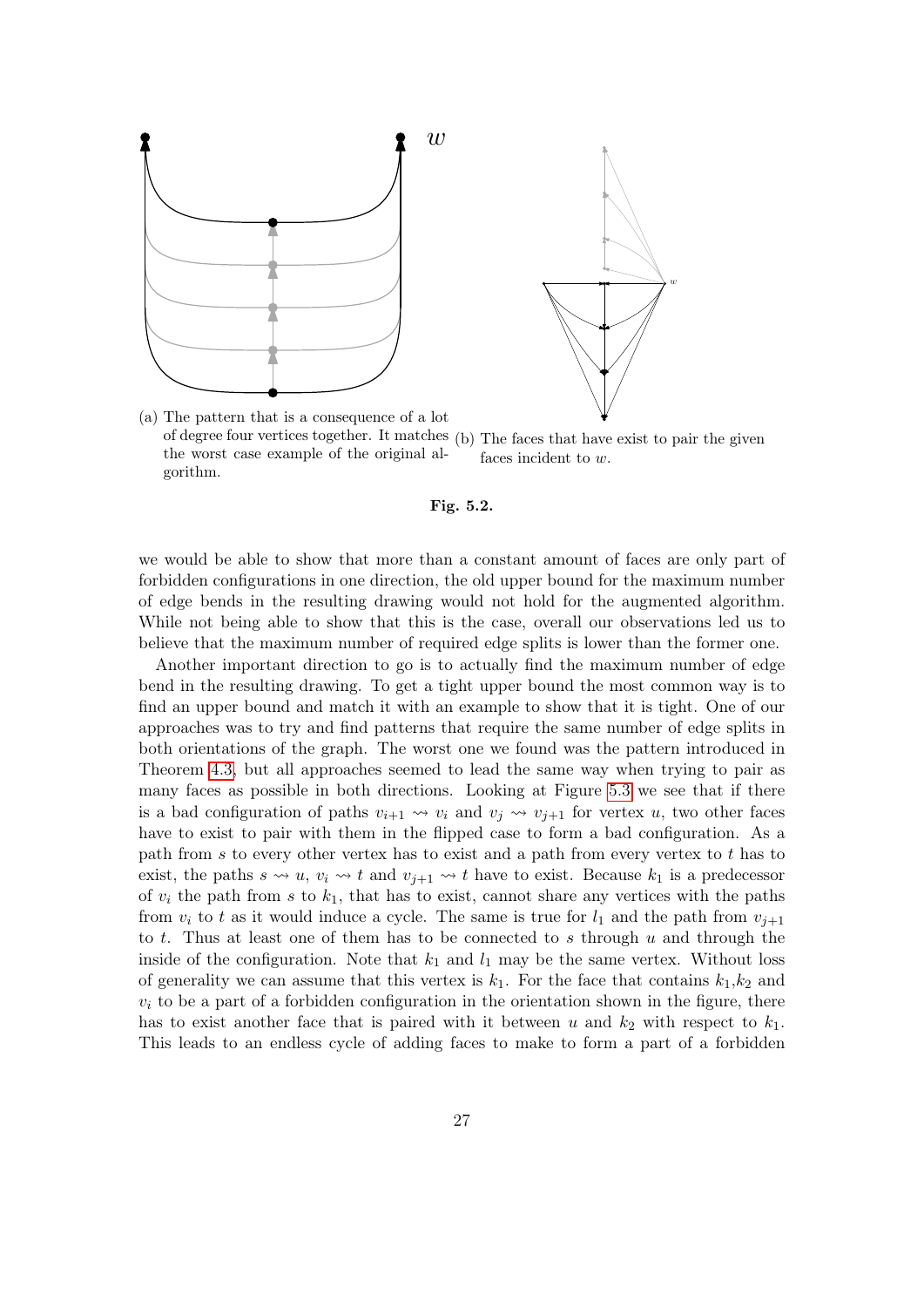<span id="page-26-0"></span>

(a) The pattern that is a consequence of a lot of degree four vertices together. It matches the worst case example of the original algorithm. (b) The faces that have exist to pair the given faces incident to w.



we would be able to show that more than a constant amount of faces are only part of forbidden configurations in one direction, the old upper bound for the maximum number of edge bends in the resulting drawing would not hold for the augmented algorithm. While not being able to show that this is the case, overall our observations led us to believe that the maximum number of required edge splits is lower than the former one.

Another important direction to go is to actually find the maximum number of edge bend in the resulting drawing. To get a tight upper bound the most common way is to find an upper bound and match it with an example to show that it is tight. One of our approaches was to try and find patterns that require the same number of edge splits in both orientations of the graph. The worst one we found was the pattern introduced in Theorem [4.3,](#page-21-1) but all approaches seemed to lead the same way when trying to pair as many faces as possible in both directions. Looking at Figure [5.3](#page-28-0) we see that if there is a bad configuration of paths  $v_{i+1} \leadsto v_i$  and  $v_j \leadsto v_{j+1}$  for vertex u, two other faces have to exist to pair with them in the flipped case to form a bad configuration. As a path from s to every other vertex has to exist and a path from every vertex to t has to exist, the paths  $s \leadsto u$ ,  $v_i \leadsto t$  and  $v_{j+1} \leadsto t$  have to exist. Because  $k_1$  is a predecessor of  $v_i$  the path from s to  $k_1$ , that has to exist, cannot share any vertices with the paths from  $v_i$  to t as it would induce a cycle. The same is true for  $l_1$  and the path from  $v_{i+1}$ to t. Thus at least one of them has to be connected to s through  $u$  and through the inside of the configuration. Note that  $k_1$  and  $l_1$  may be the same vertex. Without loss of generality we can assume that this vertex is  $k_1$ . For the face that contains  $k_1, k_2$  and  $v_i$  to be a part of a forbidden configuration in the orientation shown in the figure, there has to exist another face that is paired with it between u and  $k_2$  with respect to  $k_1$ . This leads to an endless cycle of adding faces to make to form a part of a forbidden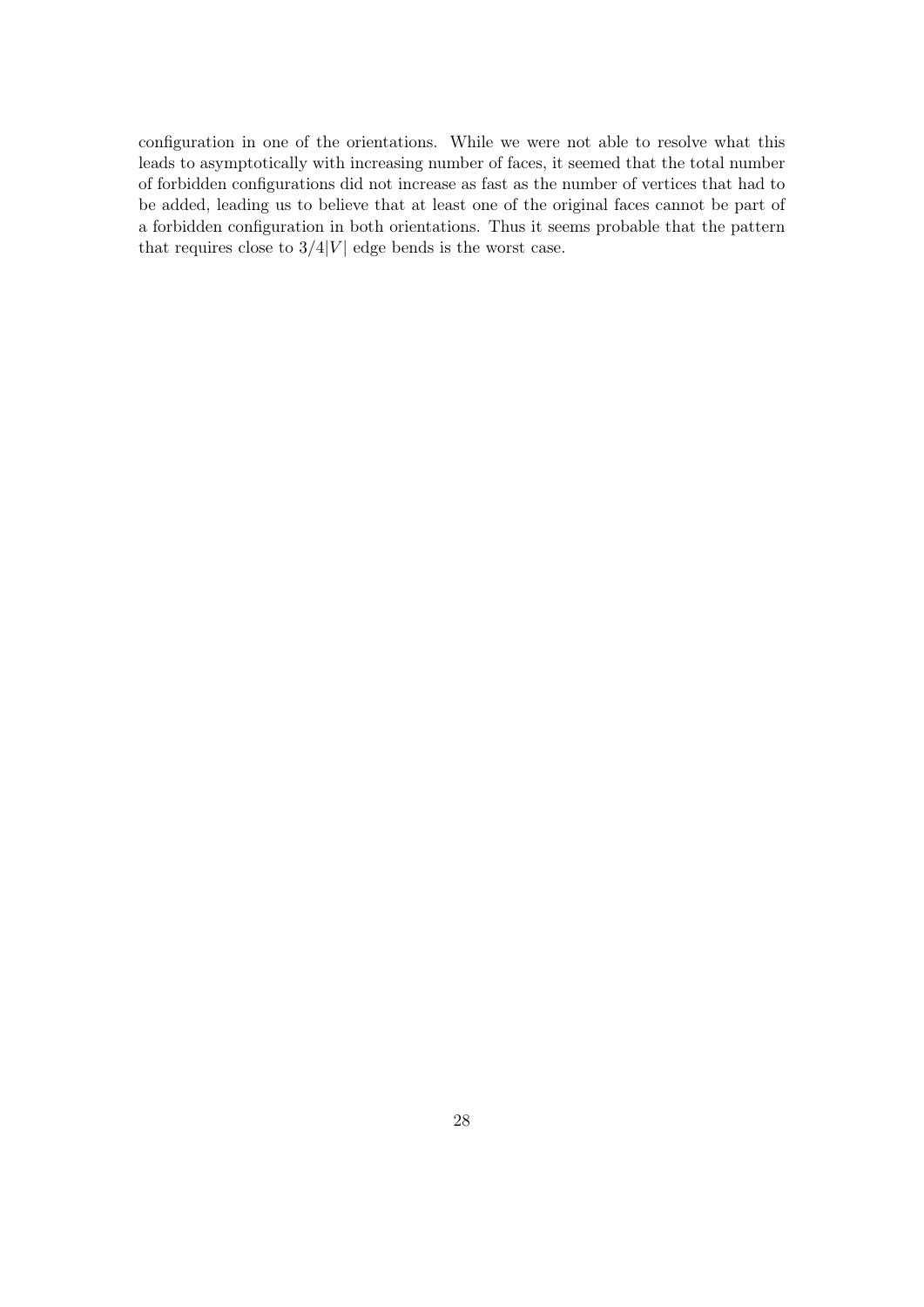configuration in one of the orientations. While we were not able to resolve what this leads to asymptotically with increasing number of faces, it seemed that the total number of forbidden configurations did not increase as fast as the number of vertices that had to be added, leading us to believe that at least one of the original faces cannot be part of a forbidden configuration in both orientations. Thus it seems probable that the pattern that requires close to  $3/4|V|$  edge bends is the worst case.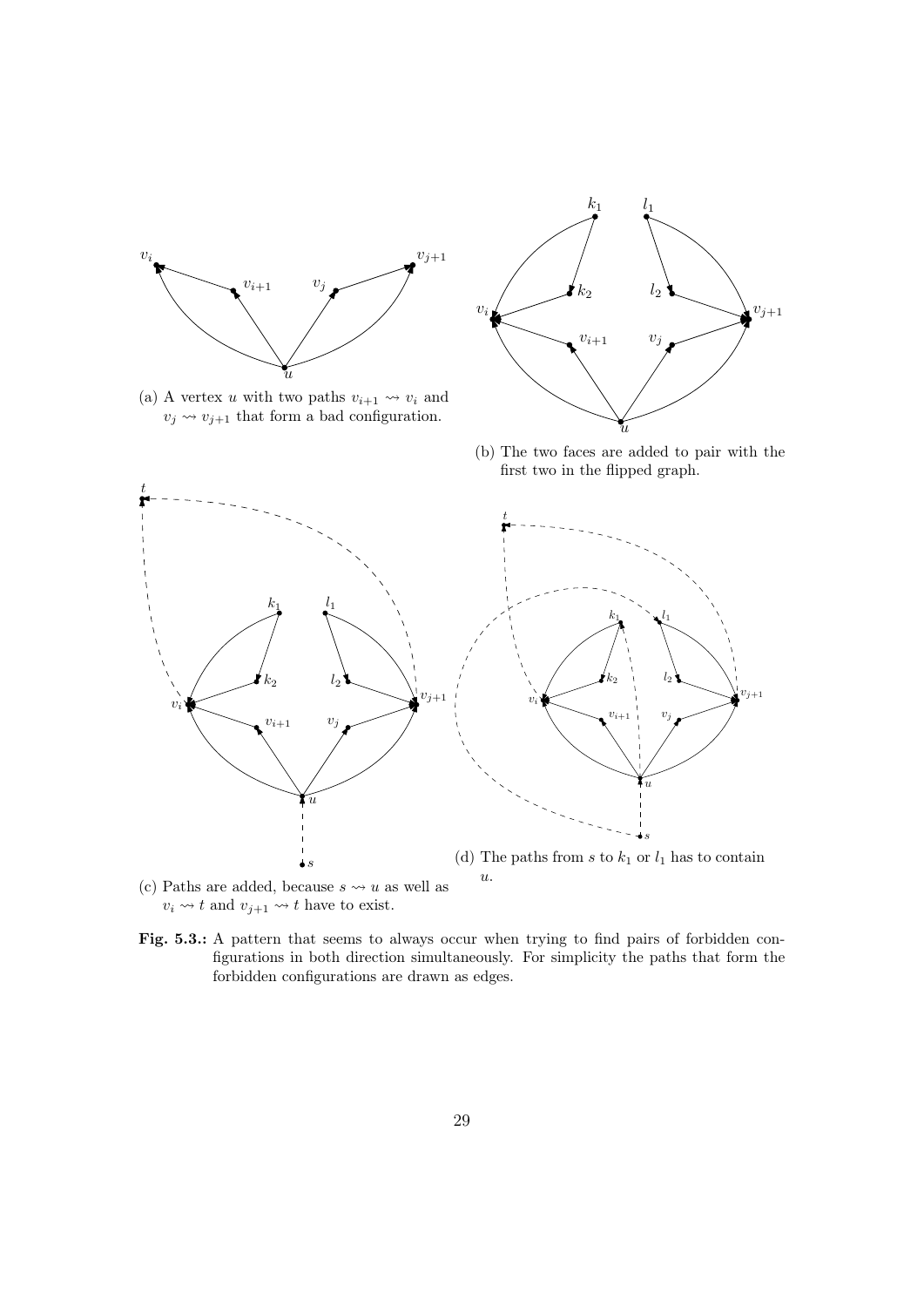<span id="page-28-0"></span>



(a) A vertex u with two paths  $v_{i+1} \rightsquigarrow v_i$  and  $v_j \leadsto v_{j+1}$  that form a bad configuration.

(b) The two faces are added to pair with the first two in the flipped graph.



- (c) Paths are added, because  $s \leadsto u$  as well as  $v_i \leadsto t$  and  $v_{j+1} \leadsto t$  have to exist.
- Fig. 5.3.: A pattern that seems to always occur when trying to find pairs of forbidden configurations in both direction simultaneously. For simplicity the paths that form the forbidden configurations are drawn as edges.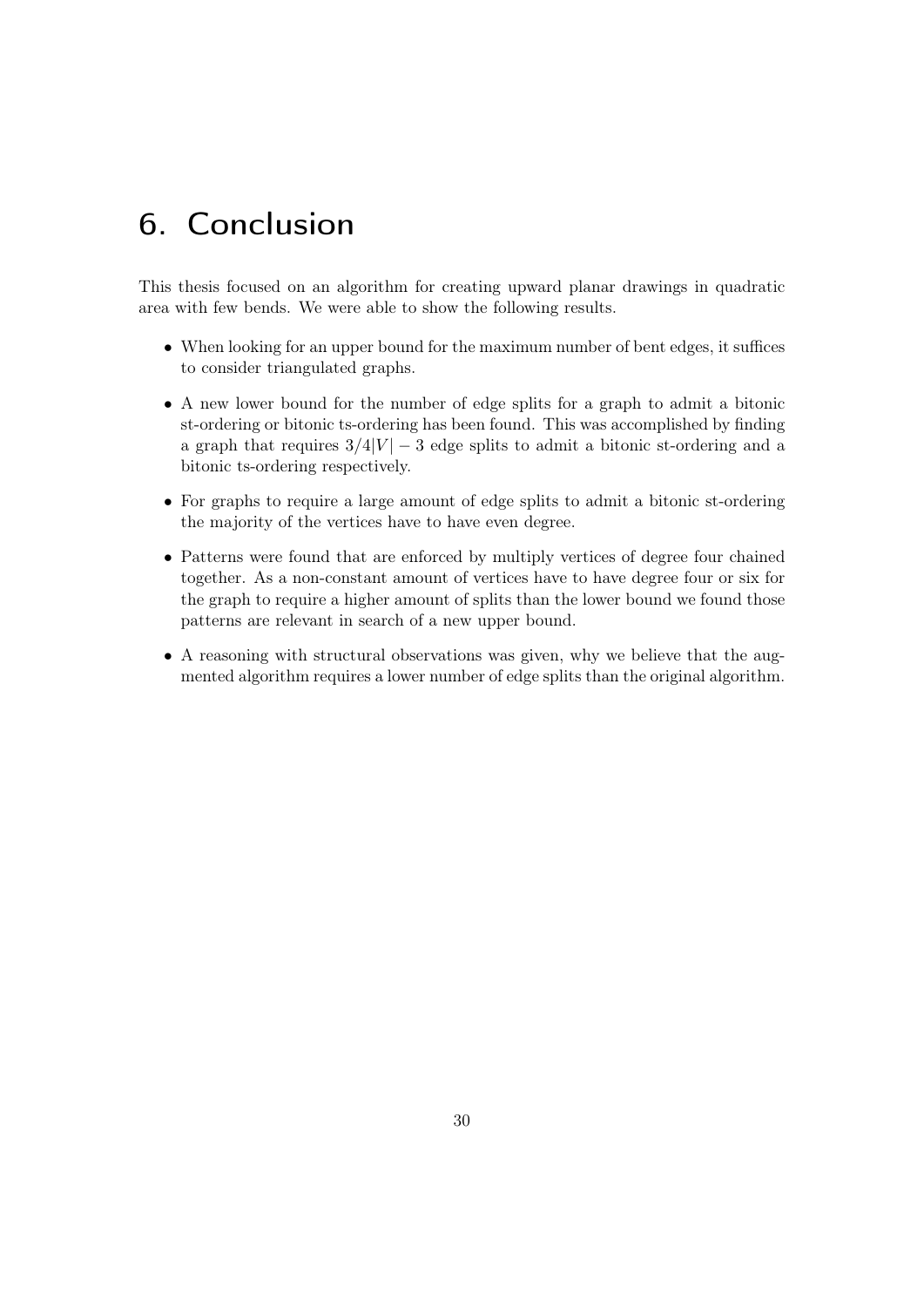## <span id="page-29-0"></span>6. Conclusion

This thesis focused on an algorithm for creating upward planar drawings in quadratic area with few bends. We were able to show the following results.

- When looking for an upper bound for the maximum number of bent edges, it suffices to consider triangulated graphs.
- A new lower bound for the number of edge splits for a graph to admit a bitonic st-ordering or bitonic ts-ordering has been found. This was accomplished by finding a graph that requires  $3/4|V| - 3$  edge splits to admit a bitonic st-ordering and a bitonic ts-ordering respectively.
- For graphs to require a large amount of edge splits to admit a bitonic st-ordering the majority of the vertices have to have even degree.
- Patterns were found that are enforced by multiply vertices of degree four chained together. As a non-constant amount of vertices have to have degree four or six for the graph to require a higher amount of splits than the lower bound we found those patterns are relevant in search of a new upper bound.
- A reasoning with structural observations was given, why we believe that the augmented algorithm requires a lower number of edge splits than the original algorithm.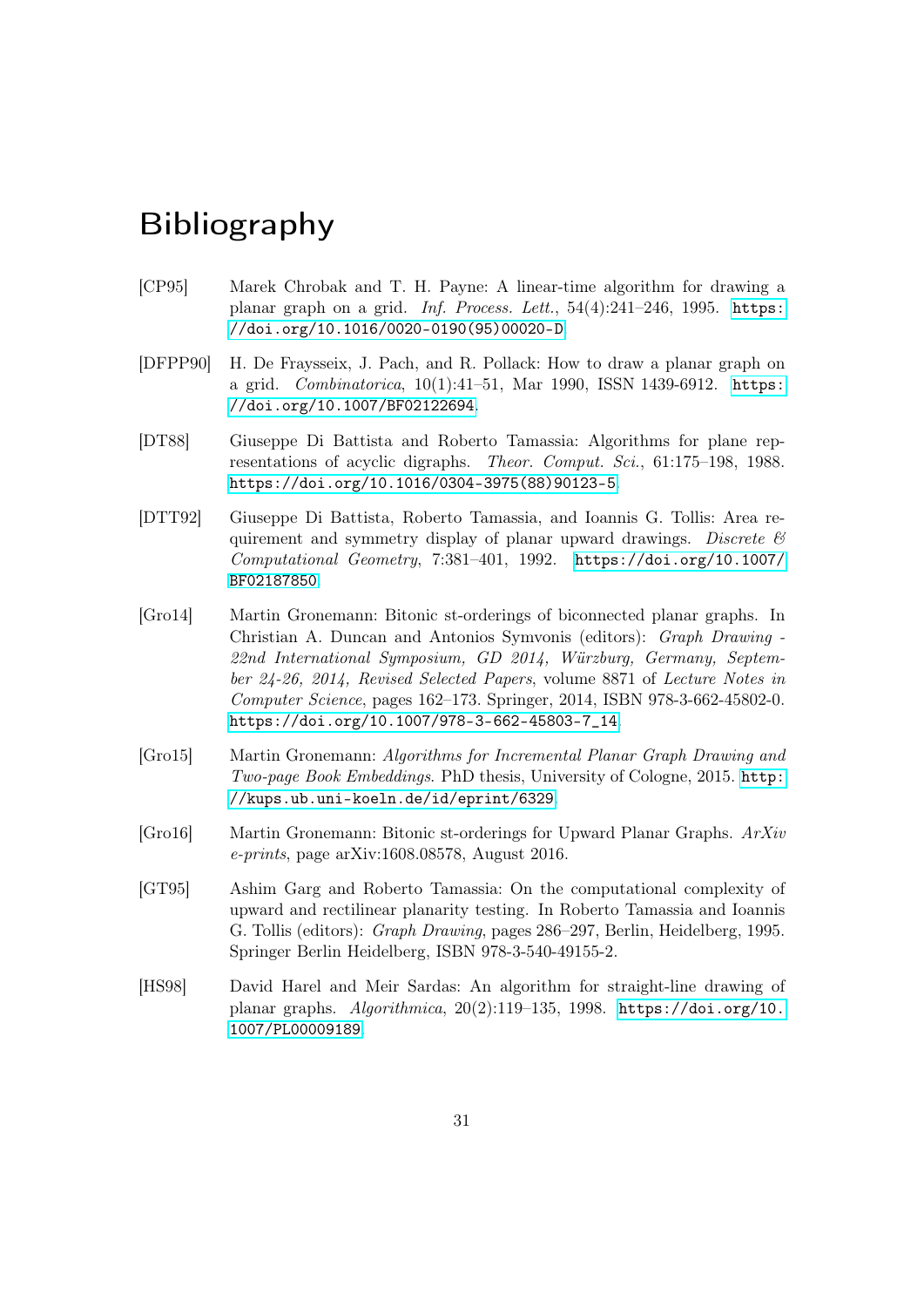### <span id="page-30-0"></span>Bibliography

- <span id="page-30-2"></span>[CP95] Marek Chrobak and T. H. Payne: A linear-time algorithm for drawing a planar graph on a grid. Inf. Process. Lett., 54(4):241–246, 1995. [https:](https://doi.org/10.1016/0020-0190(95)00020-D) [//doi.org/10.1016/0020-0190\(95\)00020-D](https://doi.org/10.1016/0020-0190(95)00020-D).
- <span id="page-30-1"></span>[DFPP90] H. De Fraysseix, J. Pach, and R. Pollack: How to draw a planar graph on a grid. Combinatorica, 10(1):41–51, Mar 1990, ISSN 1439-6912. [https:](https://doi.org/10.1007/BF02122694) [//doi.org/10.1007/BF02122694](https://doi.org/10.1007/BF02122694).
- <span id="page-30-5"></span>[DT88] Giuseppe Di Battista and Roberto Tamassia: Algorithms for plane representations of acyclic digraphs. Theor. Comput. Sci., 61:175–198, 1988. [https://doi.org/10.1016/0304-3975\(88\)90123-5](https://doi.org/10.1016/0304-3975(88)90123-5).
- <span id="page-30-6"></span>[DTT92] Giuseppe Di Battista, Roberto Tamassia, and Ioannis G. Tollis: Area requirement and symmetry display of planar upward drawings. Discrete  $\mathcal{C}$ Computational Geometry, 7:381–401, 1992. [https://doi.org/10.1007/](https://doi.org/10.1007/BF02187850) [BF02187850](https://doi.org/10.1007/BF02187850).
- <span id="page-30-7"></span>[Gro14] Martin Gronemann: Bitonic st-orderings of biconnected planar graphs. In Christian A. Duncan and Antonios Symvonis (editors): Graph Drawing - 22nd International Symposium, GD 2014, Würzburg, Germany, September 24-26, 2014, Revised Selected Papers, volume 8871 of Lecture Notes in Computer Science, pages 162–173. Springer, 2014, ISBN 978-3-662-45802-0. [https://doi.org/10.1007/978-3-662-45803-7\\_14](https://doi.org/10.1007/978-3-662-45803-7_14).
- <span id="page-30-8"></span>[Gro15] Martin Gronemann: Algorithms for Incremental Planar Graph Drawing and Two-page Book Embeddings. PhD thesis, University of Cologne, 2015. [http:](http://kups.ub.uni-koeln.de/id/eprint/6329) [//kups.ub.uni-koeln.de/id/eprint/6329](http://kups.ub.uni-koeln.de/id/eprint/6329).
- <span id="page-30-9"></span>[Gro16] Martin Gronemann: Bitonic st-orderings for Upward Planar Graphs. ArXiv e-prints, page arXiv:1608.08578, August 2016.
- <span id="page-30-4"></span>[GT95] Ashim Garg and Roberto Tamassia: On the computational complexity of upward and rectilinear planarity testing. In Roberto Tamassia and Ioannis G. Tollis (editors): Graph Drawing, pages 286–297, Berlin, Heidelberg, 1995. Springer Berlin Heidelberg, ISBN 978-3-540-49155-2.
- <span id="page-30-3"></span>[HS98] David Harel and Meir Sardas: An algorithm for straight-line drawing of planar graphs. Algorithmica, 20(2):119–135, 1998. [https://doi.org/10.](https://doi.org/10.1007/PL00009189) [1007/PL00009189](https://doi.org/10.1007/PL00009189).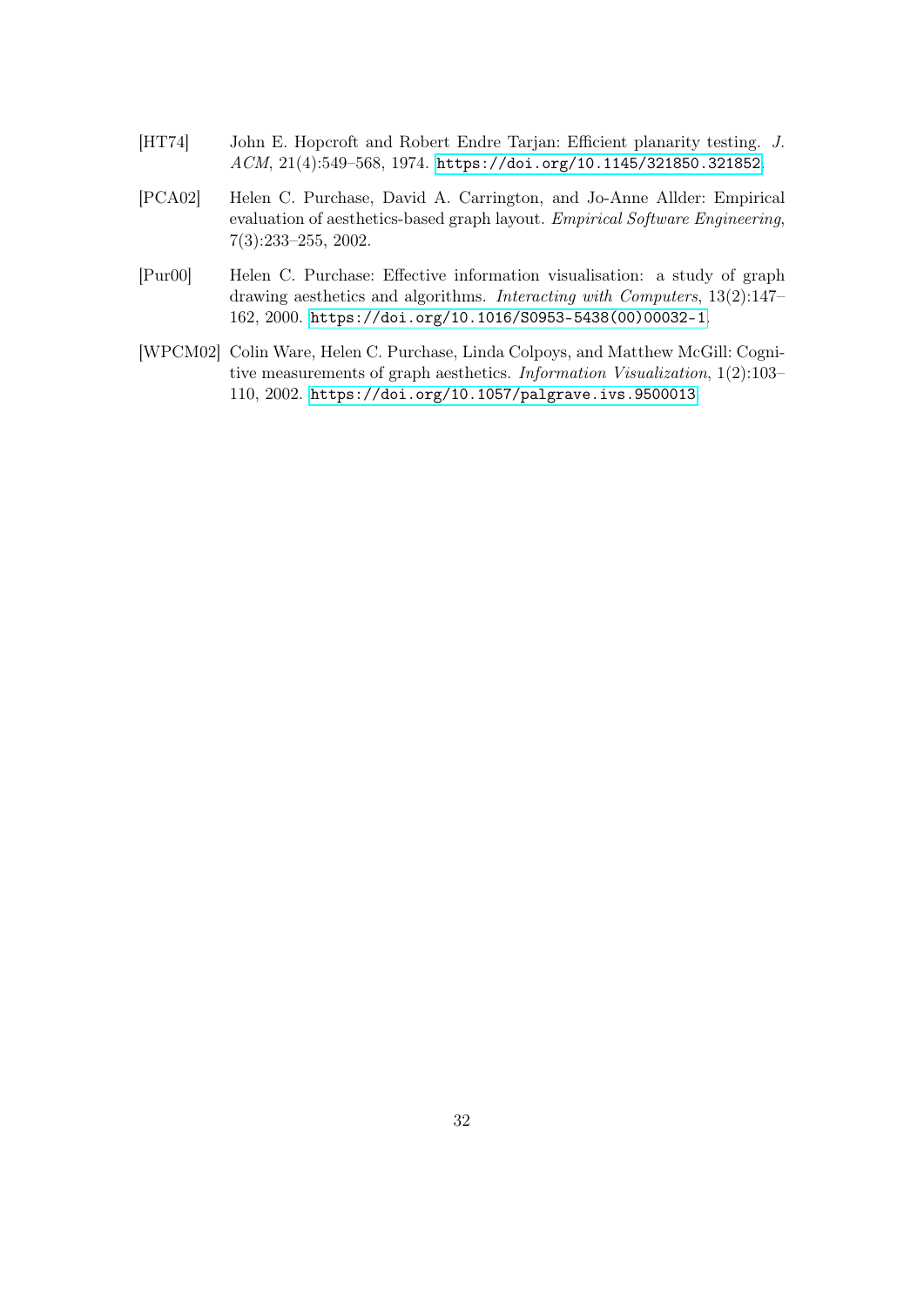- <span id="page-31-3"></span>[HT74] John E. Hopcroft and Robert Endre Tarjan: Efficient planarity testing. J. ACM, 21(4):549–568, 1974. <https://doi.org/10.1145/321850.321852>.
- <span id="page-31-2"></span>[PCA02] Helen C. Purchase, David A. Carrington, and Jo-Anne Allder: Empirical evaluation of aesthetics-based graph layout. Empirical Software Engineering, 7(3):233–255, 2002.
- <span id="page-31-1"></span>[Pur00] Helen C. Purchase: Effective information visualisation: a study of graph drawing aesthetics and algorithms. Interacting with Computers, 13(2):147– 162, 2000. [https://doi.org/10.1016/S0953-5438\(00\)00032-1](https://doi.org/10.1016/S0953-5438(00)00032-1).
- <span id="page-31-0"></span>[WPCM02] Colin Ware, Helen C. Purchase, Linda Colpoys, and Matthew McGill: Cognitive measurements of graph aesthetics. Information Visualization, 1(2):103– 110, 2002. <https://doi.org/10.1057/palgrave.ivs.9500013>.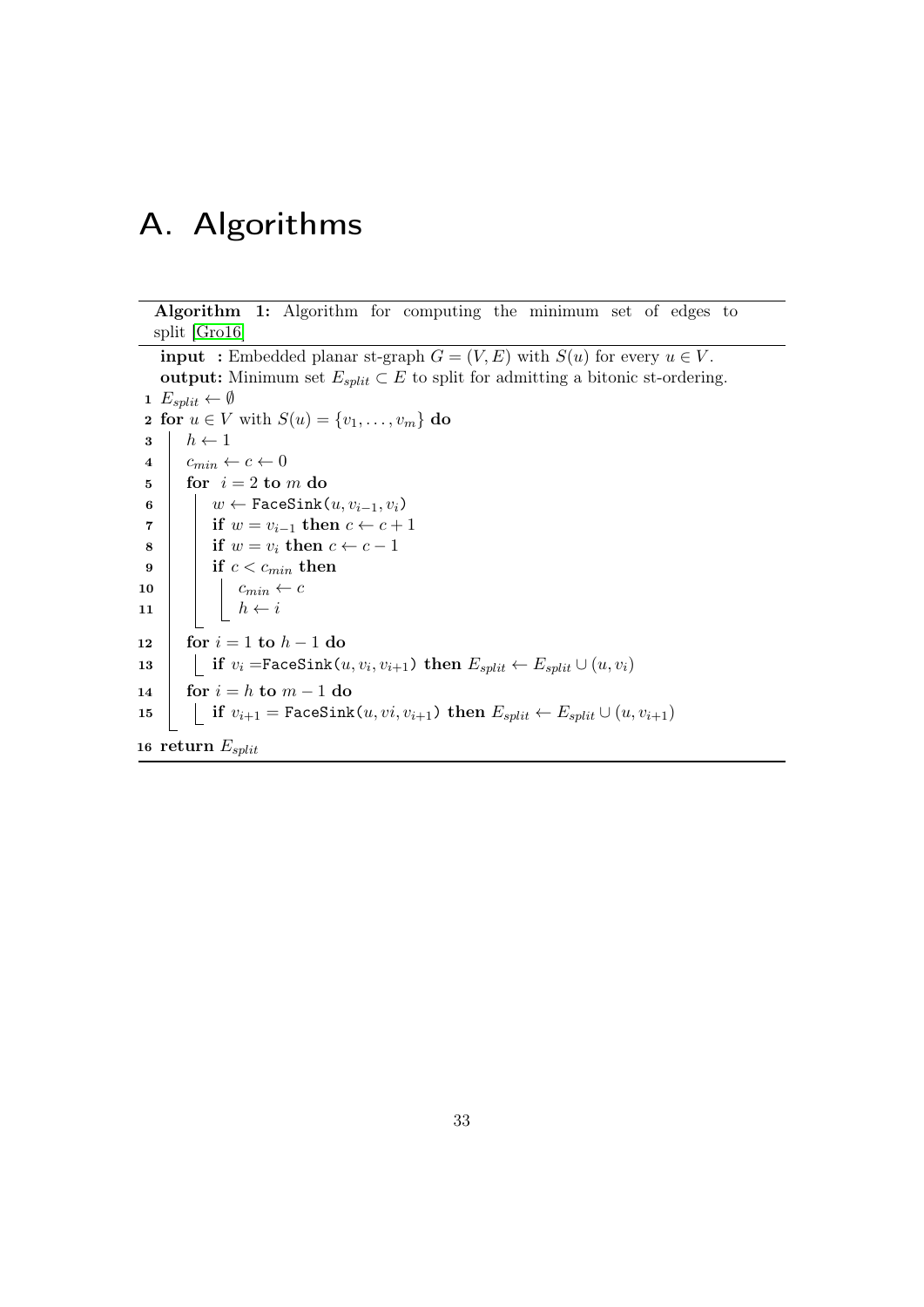# <span id="page-32-0"></span>A. Algorithms

Algorithm 1: Algorithm for computing the minimum set of edges to split [\[Gro16\]](#page-30-9)

<span id="page-32-1"></span>**input** : Embedded planar st-graph  $G = (V, E)$  with  $S(u)$  for every  $u \in V$ . output: Minimum set  $E_{split} \subset E$  to split for admitting a bitonic st-ordering. 1  $E_{split} \leftarrow \emptyset$ 2 for  $u \in V$  with  $S(u) = \{v_1, \ldots, v_m\}$  do  $3 \mid h \leftarrow 1$  $4 \mid c_{min} \leftarrow c \leftarrow 0$  $\mathbf{5}$  for  $i = 2 \text{ to } m \text{ do}$ 6  $\vert \quad \vert \quad w \leftarrow \texttt{FaceSink}(u, v_{i-1}, v_i)$ 7 if  $w = v_{i-1}$  then  $c \leftarrow c + 1$ 8 if  $w = v_i$  then  $c \leftarrow c - 1$  $9$  if  $c < c_{min}$  then 10  $\vert$   $\vert$   $\vert$   $c_{min} \leftarrow c$ 11  $\vert \vert \vert \vert h \leftarrow i$ 12 for  $i = 1$  to  $h - 1$  do  $\begin{array}{|l|} \hbox{\tt \texttt{13}} & \text{\tt \texttt{if}}~~v_i\text{ =} \texttt{Fac} \texttt{Sink}(u, v_i, v_{i+1})~\textbf{then}~E_{split} \leftarrow E_{split} \cup (u, v_i) \hskip40pt \end{array}$ 14 for  $i = h$  to  $m - 1$  do 15 if  $v_{i+1} = \text{FaceSink}(u, vi, v_{i+1})$  then  $E_{split} \leftarrow E_{split} \cup (u, v_{i+1})$ 16 return  $E_{split}$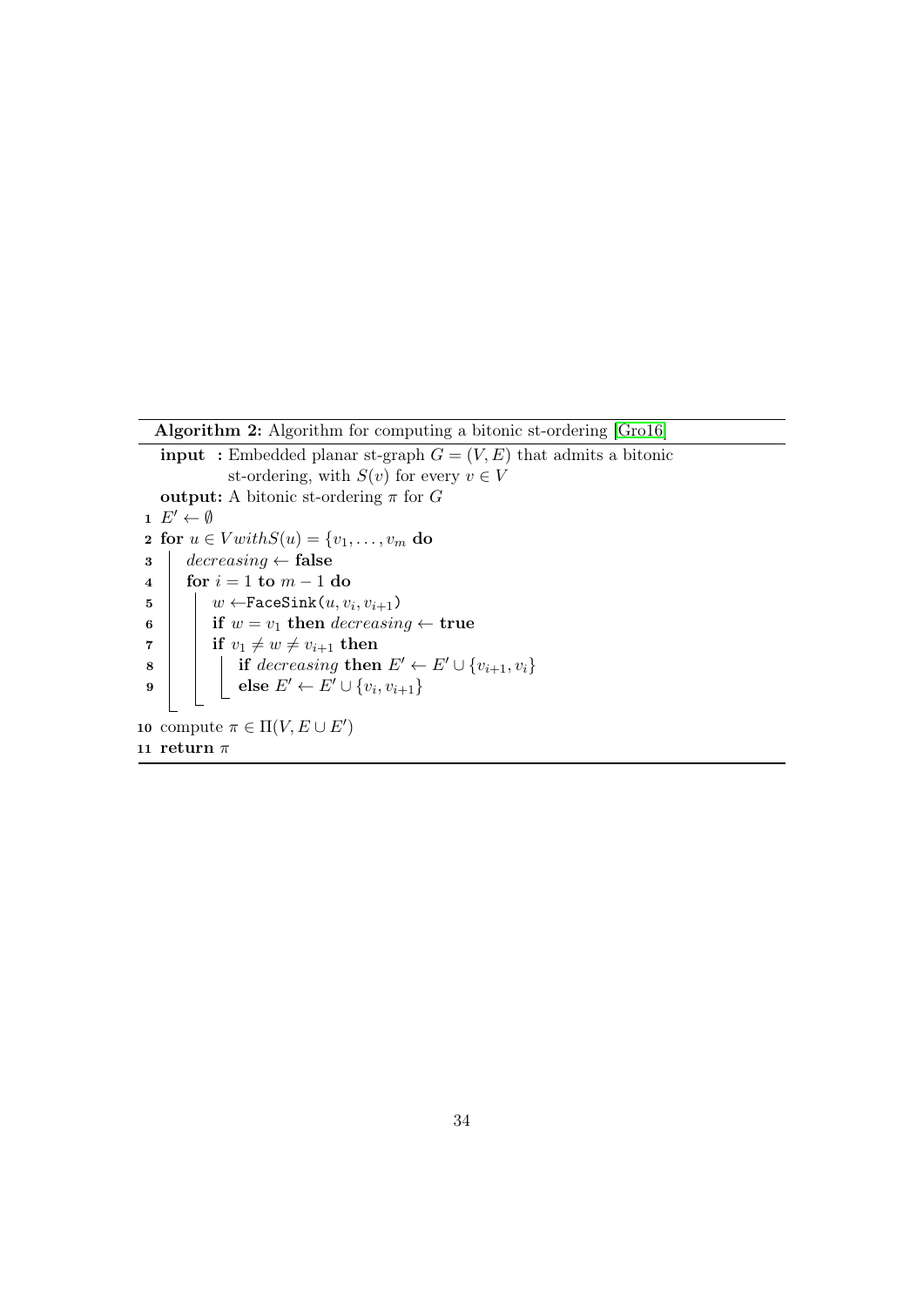<span id="page-33-0"></span>Algorithm 2: Algorithm for computing a bitonic st-ordering [\[Gro16\]](#page-30-9)

**input** : Embedded planar st-graph  $G = (V, E)$  that admits a bitonic st-ordering, with  $S(v)$  for every  $v \in V$ output: A bitonic st-ordering  $\pi$  for G 1  $E' \leftarrow \emptyset$ 2 for  $u \in V with S(u) = \{v_1, \ldots, v_m\}$  do  $\mathbf{3}$  decreasing  $\leftarrow$  false 4 for  $i = 1$  to  $m - 1$  do  $\begin{array}{|c|c|c|} \hline \texttt{5} & \texttt{w} \leftarrow \texttt{FaceSink}(u, v_i, v_{i+1}) \hline \end{array}$ 6 if  $w = v_1$  then decreasing  $\leftarrow$  true  $\begin{array}{cc} \texttt{7} & \vert & \texttt{if} \,\, v_1 \neq w \neq v_{i+1} \,\, \textbf{then} \end{array}$  $\begin{array}{|c|c|c|c|}\hline \textbf{8} & & \end{array} \begin{array}{|c|c|c|c|}\hline \textbf{1} & \textbf{2} & \textbf{3} & \textbf{4} & \textbf{5} & \textbf{6} & \textbf{6} & \textbf{7} & \textbf{8} & \textbf{8} & \textbf{10} & \textbf{10} & \textbf{10} & \textbf{10} & \textbf{10} & \textbf{10} & \textbf{10} & \textbf{10} & \textbf{10} & \textbf{10} & \textbf{10} & \textbf{10} & \textbf{10}$  $\quad \ \ \, \mathbf{9} \quad \ \ \, \mid \quad \ \ \, \mid \quad \ \ \mathbf{else} \ E' \leftarrow E' \cup \{v_i, v_{i+1}\}$ 10 compute  $\pi \in \Pi(V, E \cup E')$ 11 return  $\pi$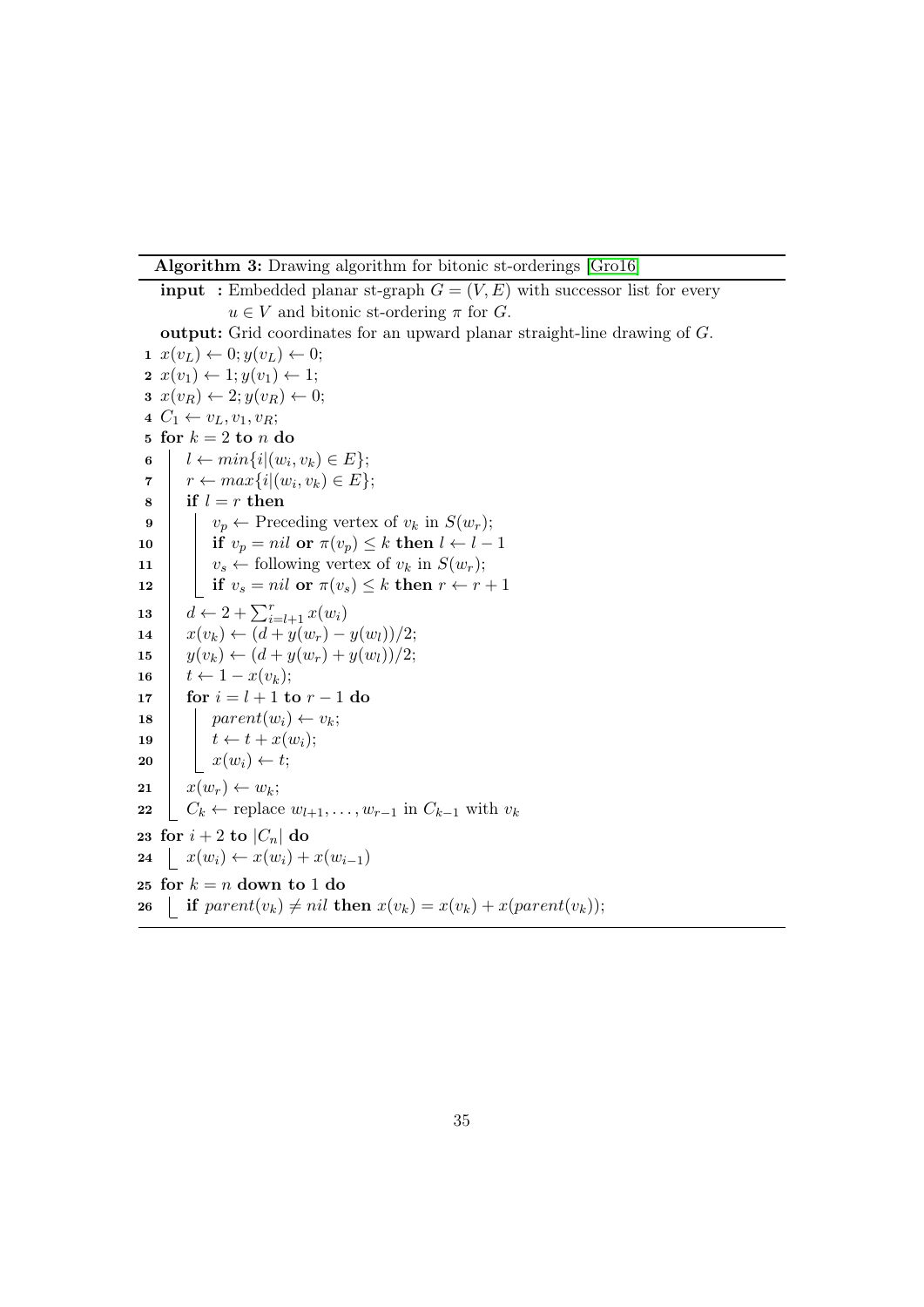Algorithm 3: Drawing algorithm for bitonic st-orderings [\[Gro16\]](#page-30-9)

<span id="page-34-0"></span>**input** : Embedded planar st-graph  $G = (V, E)$  with successor list for every  $u \in V$  and bitonic st-ordering  $\pi$  for  $G$ . output: Grid coordinates for an upward planar straight-line drawing of G.  $1 \ x(v_L) \leftarrow 0; y(v_L) \leftarrow 0;$  $\mathbf{2} \; x(v_1) \leftarrow 1; y(v_1) \leftarrow 1;$  $x(v_R) \leftarrow 2; y(v_R) \leftarrow 0;$ 4  $C_1 \leftarrow v_L, v_1, v_R;$ 5 for  $k = 2$  to n do 6  $\vert \quad l \leftarrow min\{i | (w_i, v_k) \in E\};$  $\tau \quad | \quad r \leftarrow max\{i | (w_i, v_k) \in E\};$  $8 \mid \text{if } l = r \text{ then}$ 9  $\vert \cdot \vert v_p \leftarrow$  Preceding vertex of  $v_k$  in  $S(w_r)$ ; 10 if  $v_p = nil$  or  $\pi(v_p) \leq k$  then  $l \leftarrow l - 1$ 11  $\vert v_s \leftarrow$  following vertex of  $v_k$  in  $S(w_r)$ ; 12 if  $v_s = nil$  or  $\pi(v_s) \leq k$  then  $r \leftarrow r + 1$ 13  $d \leftarrow 2 + \sum_{i=l+1}^{r} x(w_i)$ 14  $x(v_k) \leftarrow (d + y(w_r) - y(w_l))/2;$ 15  $\left| y(v_k) \leftarrow (d + y(w_r) + y(w_l))/2;$ 16  $t \leftarrow 1 - x(v_k);$ 17  $\int$  for  $i = l + 1$  to  $r - 1$  do 18 | parent $(w_i) \leftarrow v_k;$ 19  $\vert \quad t \leftarrow t + x(w_i);$ 20  $\vert x(w_i) \leftarrow t;$  $21 \mid x(w_r) \leftarrow w_k;$ 22  $\big| C_k \leftarrow \text{replace } w_{l+1}, \dots, w_{r-1} \text{ in } C_{k-1} \text{ with } v_k$ 23 for  $i + 2$  to  $|C_n|$  do 24  $x(w_i) \leftarrow x(w_i) + x(w_{i-1})$ 25 for  $k = n$  down to 1 do 26 if  $parent(v_k) \neq nil$  then  $x(v_k) = x(v_k) + x(parent(v_k));$